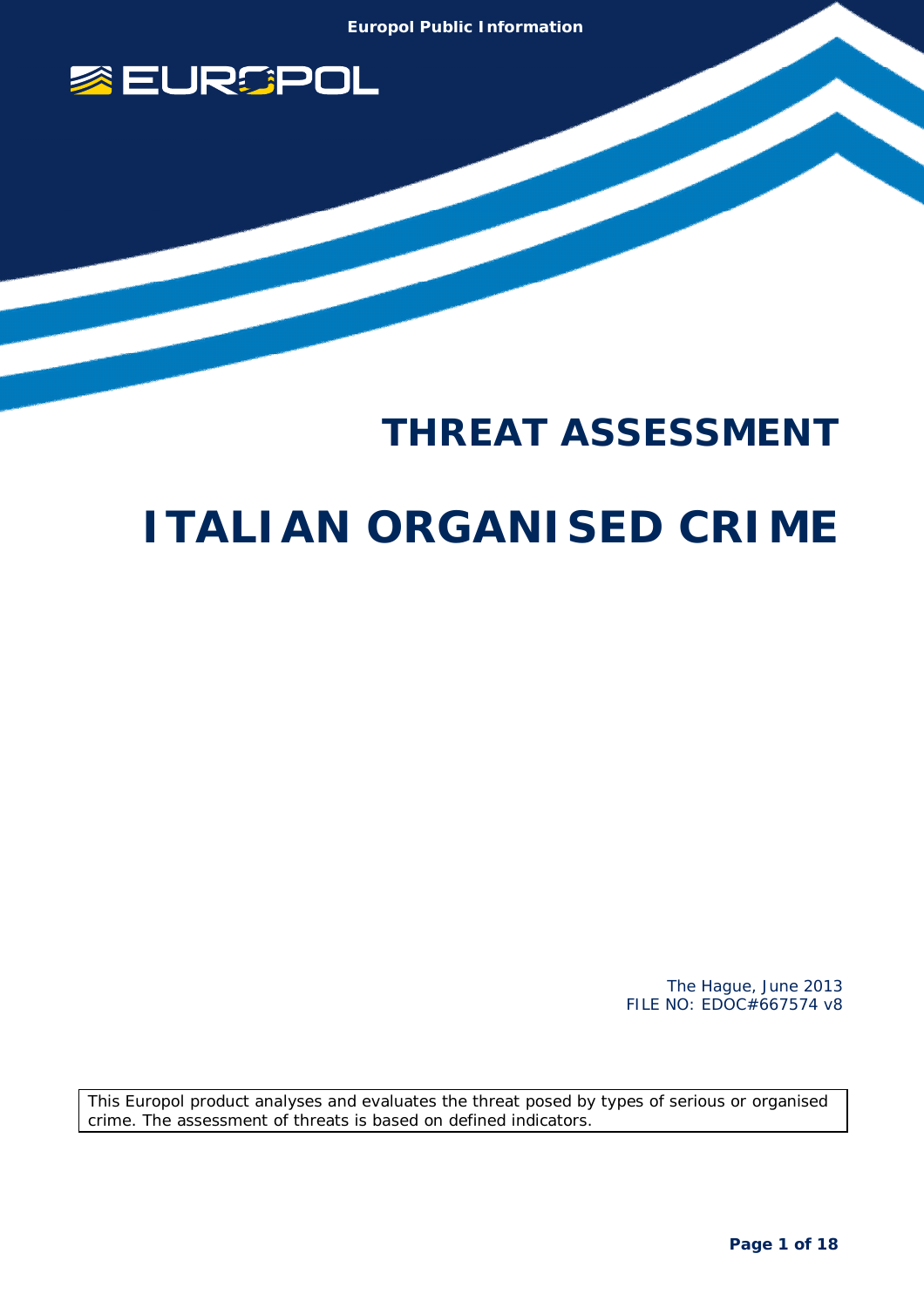

# **THREAT ASSESSMENT ITALIAN ORGANISED CRIME**

 The Hague, June 2013 FILE NO: EDOC#667574 v8

This Europol product analyses and evaluates the threat posed by types of serious or organised crime. The assessment of threats is based on defined indicators.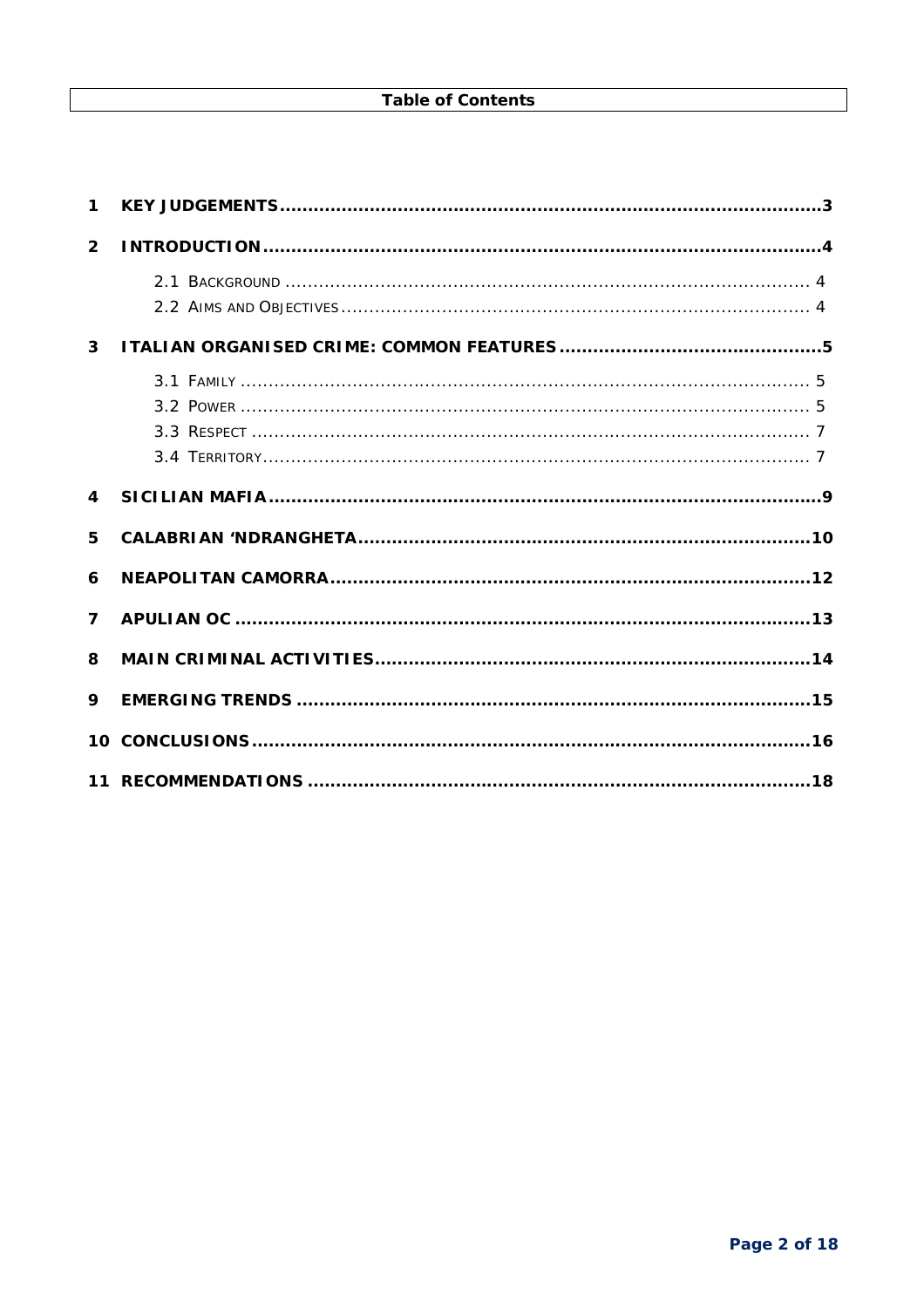| $\mathbf 1$    |  |
|----------------|--|
| 2 <sup>1</sup> |  |
|                |  |
|                |  |
| $\overline{3}$ |  |
|                |  |
|                |  |
|                |  |
|                |  |
| $\overline{4}$ |  |
| 5              |  |
| 6              |  |
| $\overline{ }$ |  |
| 8              |  |
| 9              |  |
|                |  |
|                |  |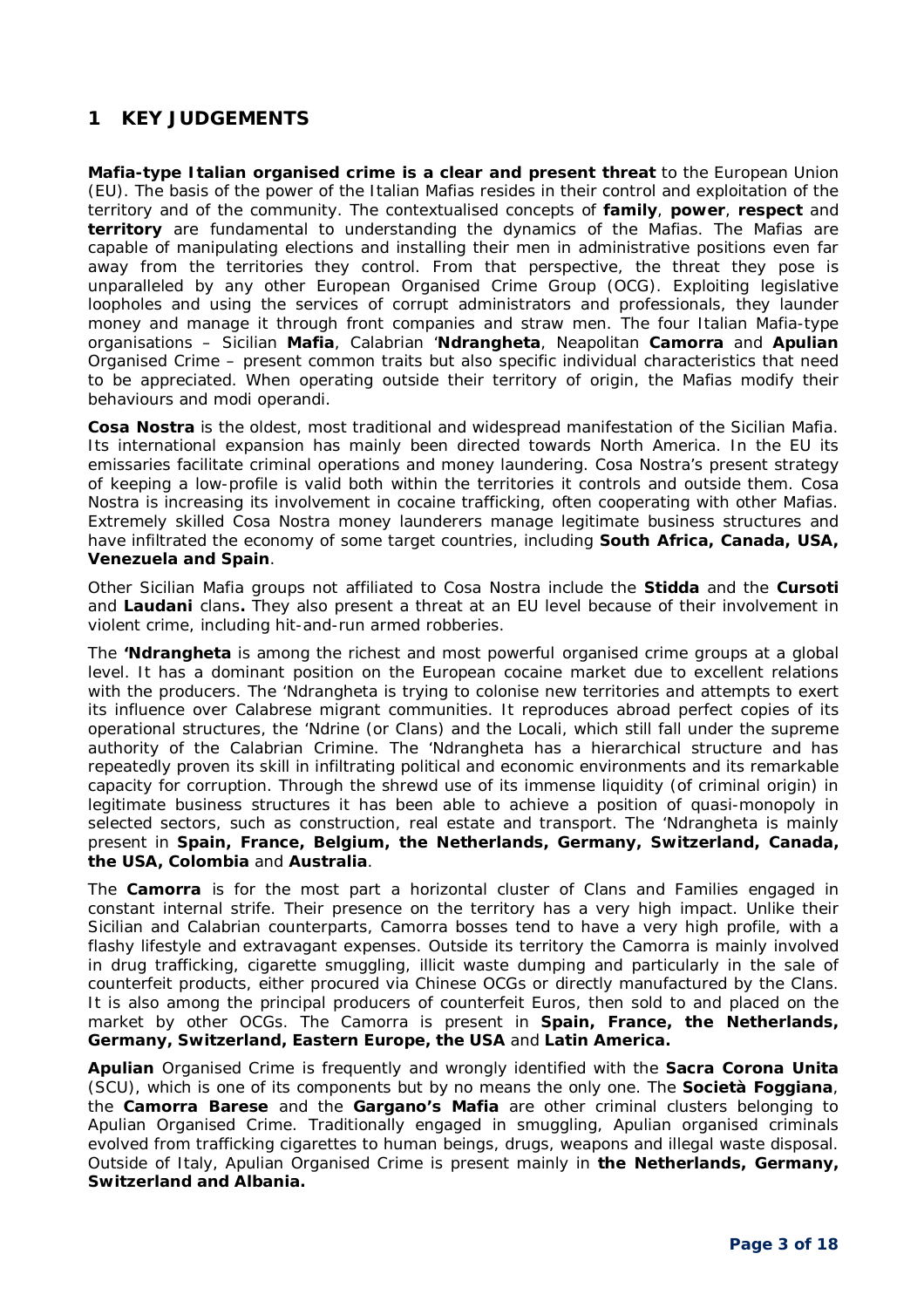# **1 KEY JUDGEMENTS**

**Mafia-type Italian organised crime is a clear and present threat** to the European Union (EU). The basis of the power of the Italian Mafias resides in their control and exploitation of the territory and of the community. The contextualised concepts of **family**, **power**, **respect** and **territory** are fundamental to understanding the dynamics of the Mafias. The Mafias are capable of manipulating elections and installing their men in administrative positions even far away from the territories they control. From that perspective, the threat they pose is unparalleled by any other European Organised Crime Group (OCG). Exploiting legislative loopholes and using the services of corrupt administrators and professionals, they launder money and manage it through front companies and straw men. The four Italian Mafia-type organisations – Sicilian **Mafia**, Calabrian '**Ndrangheta**, Neapolitan **Camorra** and **Apulian**  Organised Crime – present common traits but also specific individual characteristics that need to be appreciated. When operating outside their territory of origin, the Mafias modify their behaviours and *modi operandi.*

**Cosa Nostra** is the oldest, most traditional and widespread manifestation of the Sicilian Mafia. Its international expansion has mainly been directed towards North America. In the EU its emissaries facilitate criminal operations and money laundering. Cosa Nostra's present strategy of keeping a low-profile is valid both within the territories it controls and outside them. Cosa Nostra is increasing its involvement in cocaine trafficking, often cooperating with other Mafias. Extremely skilled Cosa Nostra money launderers manage legitimate business structures and have infiltrated the economy of some target countries, including **South Africa, Canada, USA, Venezuela and Spain**.

Other Sicilian Mafia groups not affiliated to Cosa Nostra include the **Stidda** and the **Cursoti** and **Laudani** clans**.** They also present a threat at an EU level because of their involvement in violent crime, including hit-and-run armed robberies.

The **'Ndrangheta** is among the richest and most powerful organised crime groups at a global level. It has a dominant position on the European cocaine market due to excellent relations with the producers. The 'Ndrangheta is trying to colonise new territories and attempts to exert its influence over Calabrese migrant communities. It reproduces abroad perfect copies of its operational structures, the *'Ndrine* (or Clans) and the *Locali*, which still fall under the supreme authority of the Calabrian *Crimine*. The 'Ndrangheta has a hierarchical structure and has repeatedly proven its skill in infiltrating political and economic environments and its remarkable capacity for corruption. Through the shrewd use of its immense liquidity (of criminal origin) in legitimate business structures it has been able to achieve a position of quasi-monopoly in selected sectors, such as construction, real estate and transport. The 'Ndrangheta is mainly present in **Spain, France, Belgium, the Netherlands, Germany, Switzerland, Canada, the USA, Colombia** and **Australia**.

The **Camorra** is for the most part a horizontal cluster of Clans and Families engaged in constant internal strife. Their presence on the territory has a very high impact. Unlike their Sicilian and Calabrian counterparts, Camorra bosses tend to have a very high profile, with a flashy lifestyle and extravagant expenses. Outside its territory the Camorra is mainly involved in drug trafficking, cigarette smuggling, illicit waste dumping and particularly in the sale of counterfeit products, either procured via Chinese OCGs or directly manufactured by the Clans. It is also among the principal producers of counterfeit Euros, then sold to and placed on the market by other OCGs. The Camorra is present in **Spain, France, the Netherlands, Germany, Switzerland, Eastern Europe, the USA** and **Latin America.**

**Apulian** Organised Crime is frequently and wrongly identified with the **Sacra Corona Unita** (SCU), which is one of its components but by no means the only one. The **Società Foggiana**, the **Camorra Barese** and the **Gargano's Mafia** are other criminal clusters belonging to Apulian Organised Crime. Traditionally engaged in smuggling, Apulian organised criminals evolved from trafficking cigarettes to human beings, drugs, weapons and illegal waste disposal. Outside of Italy, Apulian Organised Crime is present mainly in **the Netherlands, Germany, Switzerland and Albania.**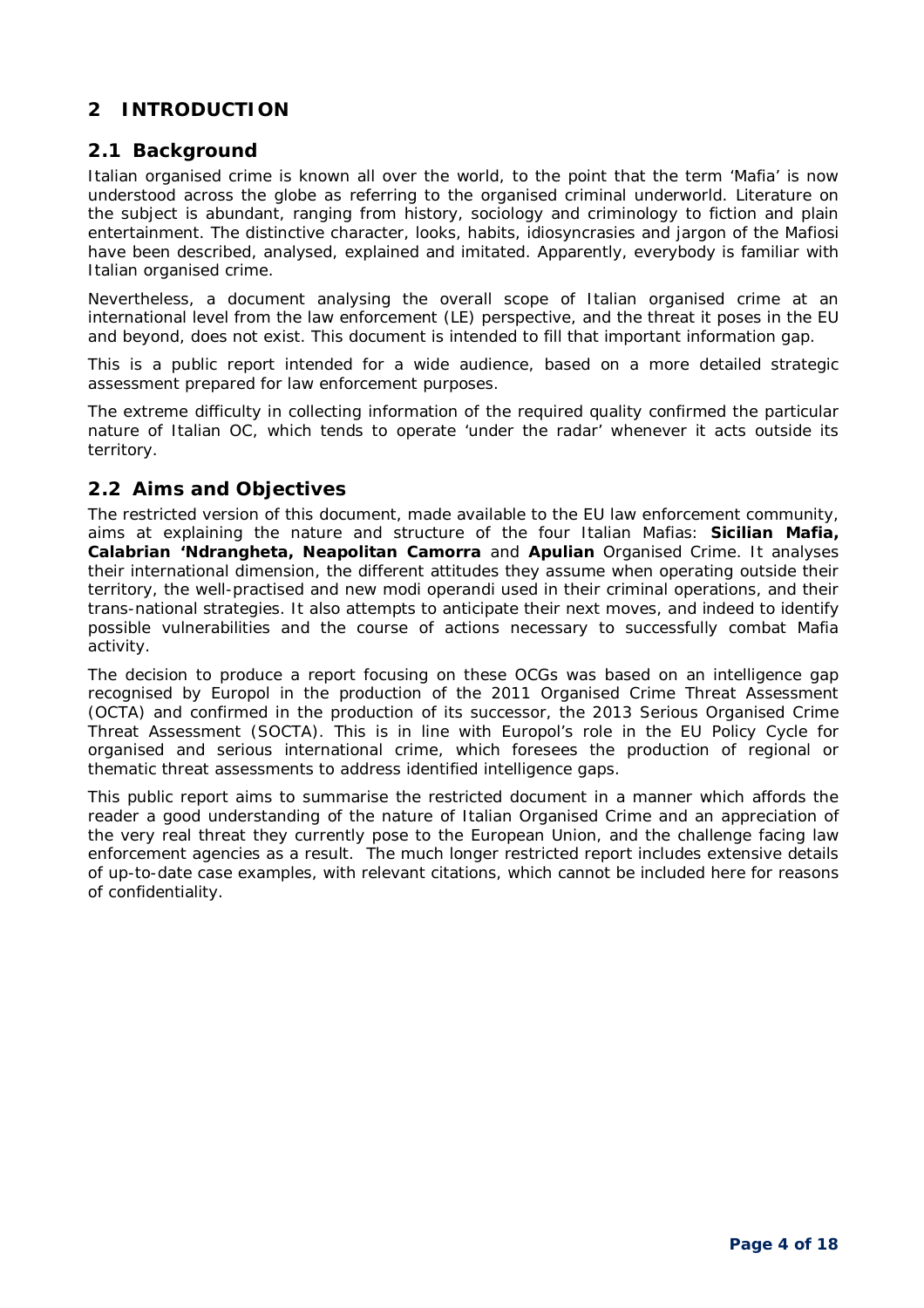## **2 INTRODUCTION**

#### **2.1 Background**

Italian organised crime is known all over the world, to the point that the term 'Mafia' is now understood across the globe as referring to the organised criminal underworld. Literature on the subject is abundant, ranging from history, sociology and criminology to fiction and plain entertainment. The distinctive character, looks, habits, idiosyncrasies and jargon of the *Mafiosi* have been described, analysed, explained and imitated. Apparently, everybody is familiar with Italian organised crime.

Nevertheless, a document analysing the overall scope of Italian organised crime at an international level from the law enforcement (LE) perspective, and the threat it poses in the EU and beyond, does not exist. This document is intended to fill that important information gap.

This is a public report intended for a wide audience, based on a more detailed strategic assessment prepared for law enforcement purposes.

The extreme difficulty in collecting information of the required quality confirmed the particular nature of Italian OC, which tends to operate 'under the radar' whenever it acts outside its territory.

#### **2.2 Aims and Objectives**

The restricted version of this document, made available to the EU law enforcement community, aims at explaining the nature and structure of the four Italian Mafias: **Sicilian Mafia, Calabrian 'Ndrangheta, Neapolitan Camorra** and **Apulian** Organised Crime. It analyses their international dimension, the different attitudes they assume when operating outside their territory, the well-practised and new *modi operandi* used in their criminal operations, and their trans-national strategies. It also attempts to anticipate their next moves, and indeed to identify possible vulnerabilities and the course of actions necessary to successfully combat Mafia activity.

The decision to produce a report focusing on these OCGs was based on an intelligence gap recognised by Europol in the production of the 2011 Organised Crime Threat Assessment (OCTA) and confirmed in the production of its successor, the 2013 Serious Organised Crime Threat Assessment (SOCTA). This is in line with Europol's role in the EU Policy Cycle for organised and serious international crime, which foresees the production of regional or thematic threat assessments to address identified intelligence gaps.

This public report aims to summarise the restricted document in a manner which affords the reader a good understanding of the nature of Italian Organised Crime and an appreciation of the very real threat they currently pose to the European Union, and the challenge facing law enforcement agencies as a result. The much longer restricted report includes extensive details of up-to-date case examples, with relevant citations, which cannot be included here for reasons of confidentiality.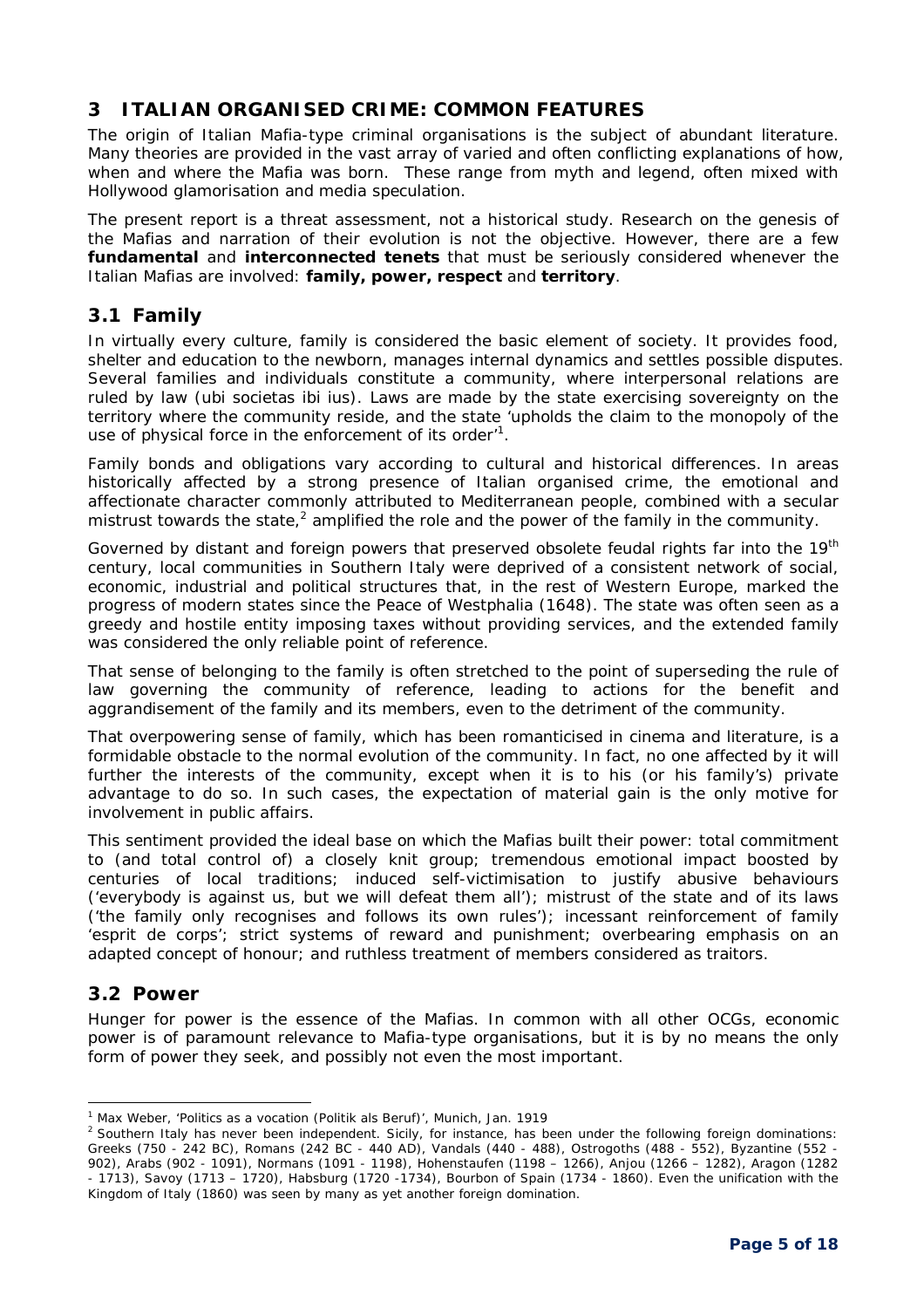## **3 ITALIAN ORGANISED CRIME: COMMON FEATURES**

The origin of Italian Mafia-type criminal organisations is the subject of abundant literature. Many theories are provided in the vast array of varied and often conflicting explanations of how, when and where the Mafia was born. These range from myth and legend, often mixed with Hollywood glamorisation and media speculation.

The present report is a threat assessment, not a historical study. Research on the genesis of the Mafias and narration of their evolution is not the objective. However, there are a few **fundamental** and **interconnected tenets** that must be seriously considered whenever the Italian Mafias are involved: **family, power, respect** and **territory**.

## **3.1 Family**

In virtually every culture, family is considered the basic element of society. It provides food, shelter and education to the newborn, manages internal dynamics and settles possible disputes. Several families and individuals constitute a community, where interpersonal relations are ruled by law *(ubi societas ibi ius).* Laws are made by the state exercising sovereignty on the territory where the community reside, and the state 'upholds the claim to the monopoly of the use of physical force in the enforcement of its order $1$ .

Family bonds and obligations vary according to cultural and historical differences. In areas historically affected by a strong presence of Italian organised crime, the emotional and affectionate character commonly attributed to Mediterranean people, combined with a secular mistrust towards the state,<sup>2</sup> amplified the role and the power of the family in the community.

Governed by distant and foreign powers that preserved obsolete feudal rights far into the 19<sup>th</sup> century, local communities in Southern Italy were deprived of a consistent network of social, economic, industrial and political structures that, in the rest of Western Europe, marked the progress of modern states since the Peace of Westphalia (1648). The state was often seen as a greedy and hostile entity imposing taxes without providing services, and the extended family was considered the only reliable point of reference.

That sense of belonging to the family is often stretched to the point of superseding the rule of law governing the community of reference, leading to actions for the benefit and aggrandisement of the family and its members, even to the detriment of the community.

That overpowering sense of family, which has been romanticised in cinema and literature, is a formidable obstacle to the normal evolution of the community. In fact, no one affected by it will further the interests of the community, except when it is to his (or his family's) private advantage to do so. In such cases, the expectation of material gain is the only motive for involvement in public affairs.

This sentiment provided the ideal base on which the Mafias built their power: total commitment to (and total control of) a closely knit group; tremendous emotional impact boosted by centuries of local traditions; induced self-victimisation to justify abusive behaviours *('everybody is against us, but we will defeat them all')*; mistrust of the state and of its laws *('the family only recognises and follows its own rules')*; incessant reinforcement of family 'esprit de corps'; strict systems of reward and punishment; overbearing emphasis on an adapted concept of honour; and ruthless treatment of members considered as traitors.

## **3.2 Power**

Hunger for power is the essence of the Mafias. In common with all other OCGs, economic power is of paramount relevance to Mafia-type organisations, but it is by no means the only form of power they seek, and possibly not even the most important.

i, <sup>1</sup> Max Weber, *'Politics as a vocation (Politik als Beruf)',* Munich, Jan. 1919

<sup>&</sup>lt;sup>2</sup> Southern Italy has never been independent. Sicily, for instance, has been under the following foreign dominations: Greeks (750 - 242 BC), Romans (242 BC - 440 AD), Vandals (440 - 488), Ostrogoths (488 - 552), Byzantine (552 - 902), Arabs (902 - 1091), Normans (1091 - 1198), Hohenstaufen (1198 – 1266), Anjou (1266 – 1282), Aragon (1282 - 1713), Savoy (1713 – 1720), Habsburg (1720 -1734), Bourbon of Spain (1734 - 1860). Even the unification with the Kingdom of Italy (1860) was seen by many as yet another foreign domination.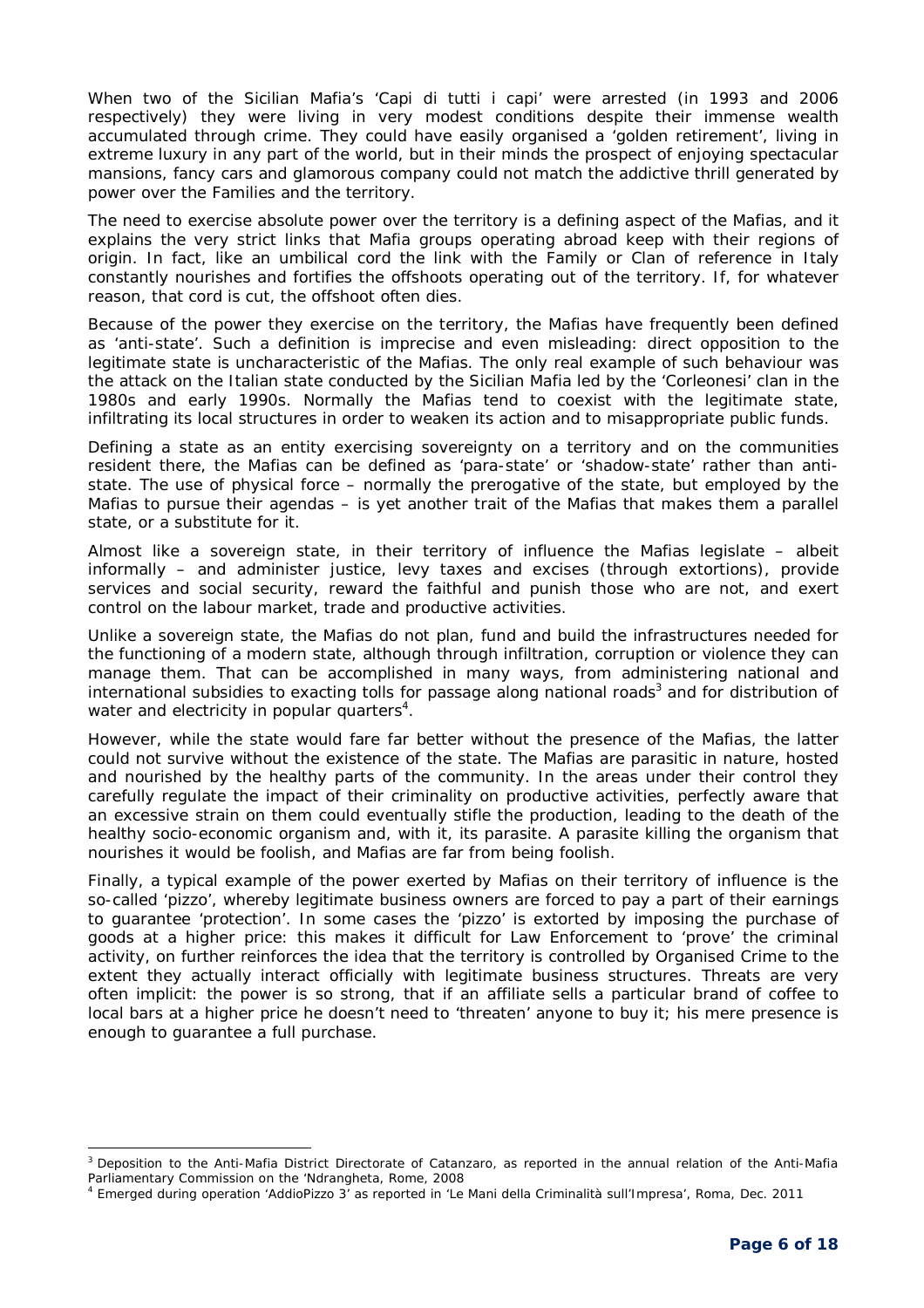When two of the Sicilian Mafia's 'Capi di tutti i capi' were arrested (in 1993 and 2006 respectively) they were living in very modest conditions despite their immense wealth accumulated through crime. They could have easily organised a 'golden retirement', living in extreme luxury in any part of the world, but in their minds the prospect of enjoying spectacular mansions, fancy cars and glamorous company could not match the addictive thrill generated by power over the Families and the territory.

The need to exercise absolute power over the territory is a defining aspect of the Mafias, and it explains the very strict links that Mafia groups operating abroad keep with their regions of origin. In fact, like an umbilical cord the link with the Family or Clan of reference in Italy constantly nourishes and fortifies the offshoots operating out of the territory. If, for whatever reason, that cord is cut, the offshoot often dies.

Because of the power they exercise on the territory, the Mafias have frequently been defined as 'anti-state'. Such a definition is imprecise and even misleading: direct opposition to the legitimate state is uncharacteristic of the Mafias. The only real example of such behaviour was the attack on the Italian state conducted by the Sicilian Mafia led by the 'Corleonesi' clan in the 1980s and early 1990s. Normally the Mafias tend to coexist with the legitimate state, infiltrating its local structures in order to weaken its action and to misappropriate public funds.

Defining a state as an entity exercising sovereignty on a territory and on the communities resident there, the Mafias can be defined as 'para-state' or 'shadow-state' rather than antistate. The use of physical force – normally the prerogative of the state, but employed by the Mafias to pursue their agendas – is yet another trait of the Mafias that makes them a parallel state, or a substitute for it.

Almost like a sovereign state, in their territory of influence the Mafias legislate – albeit informally – and administer justice, levy taxes and excises (through extortions), provide services and social security, reward the faithful and punish those who are not, and exert control on the labour market, trade and productive activities.

Unlike a sovereign state, the Mafias do not plan, fund and build the infrastructures needed for the functioning of a modern state, although through infiltration, corruption or violence they can manage them. That can be accomplished in many ways, from administering national and international subsidies to exacting tolls for passage along national roads<sup>3</sup> and for distribution of water and electricity in popular quarters<sup>4</sup>.

However, while the state would fare far better without the presence of the Mafias, the latter could not survive without the existence of the state. The Mafias are parasitic in nature, hosted and nourished by the healthy parts of the community. In the areas under their control they carefully regulate the impact of their criminality on productive activities, perfectly aware that an excessive strain on them could eventually stifle the production, leading to the death of the healthy socio-economic organism and, with it, its parasite. A parasite killing the organism that nourishes it would be foolish, and Mafias are far from being foolish.

Finally, a typical example of the power exerted by Mafias on their territory of influence is the so-called 'pizzo', whereby legitimate business owners are forced to pay a part of their earnings to guarantee 'protection'. In some cases the 'pizzo' is extorted by imposing the purchase of goods at a higher price: this makes it difficult for Law Enforcement to 'prove' the criminal activity, on further reinforces the idea that the territory is controlled by Organised Crime to the extent they actually interact officially with legitimate business structures. Threats are very often implicit: the power is so strong, that if an affiliate sells a particular brand of coffee to local bars at a higher price he doesn't need to 'threaten' anyone to buy it; his mere presence is enough to guarantee a full purchase.

-

<sup>&</sup>lt;sup>3</sup> Deposition to the Anti-Mafia District Directorate of Catanzaro, as reported in the annual relation of the Anti-Mafia Parliamentary Commission on the 'Ndrangheta, Rome, 2008

<sup>4</sup> Emerged during operation 'AddioPizzo 3' as reported in *'Le Mani della Criminalità sull'Impresa',* Roma, Dec. 2011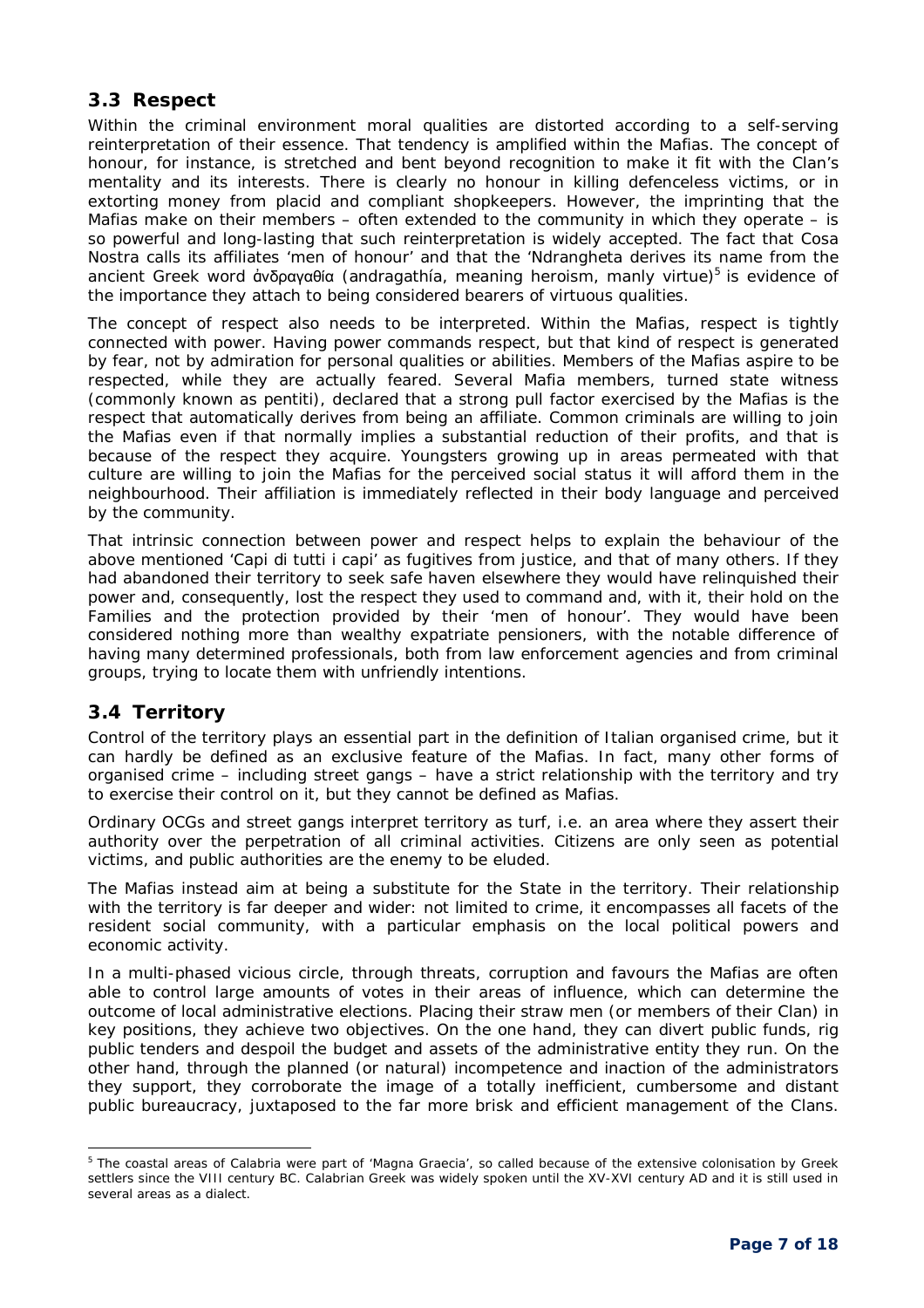## **3.3 Respect**

Within the criminal environment moral qualities are distorted according to a self-serving reinterpretation of their essence. That tendency is amplified within the Mafias. The concept of honour, for instance, is stretched and bent beyond recognition to make it fit with the Clan's mentality and its interests. There is clearly no honour in killing defenceless victims, or in extorting money from placid and compliant shopkeepers. However, the imprinting that the Mafias make on their members – often extended to the community in which they operate – is so powerful and long-lasting that such reinterpretation is widely accepted. The fact that Cosa Nostra calls its affiliates 'men of honour' and that the 'Ndrangheta derives its name from the ancient Greek word ἀνδραγαθία (andragathía, meaning heroism, manly virtue)<sup>5</sup> is evidence of the importance they attach to being considered bearers of virtuous qualities.

The concept of respect also needs to be interpreted. Within the Mafias, respect is tightly connected with power. Having power commands respect, but that kind of respect is generated by fear, not by admiration for personal qualities or abilities. Members of the Mafias aspire to be respected, while they are actually feared. Several Mafia members, turned state witness (commonly known as *pentiti*), declared that a strong pull factor exercised by the Mafias is the respect that automatically derives from being an affiliate. Common criminals are willing to join the Mafias even if that normally implies a substantial reduction of their profits, and that is because of the respect they acquire. Youngsters growing up in areas permeated with that culture are willing to join the Mafias for the perceived social status it will afford them in the neighbourhood. Their affiliation is immediately reflected in their body language and perceived by the community.

That intrinsic connection between power and respect helps to explain the behaviour of the above mentioned 'Capi di tutti i capi' as fugitives from justice, and that of many others. If they had abandoned their territory to seek safe haven elsewhere they would have relinquished their power and, consequently, lost the respect they used to command and, with it, their hold on the Families and the protection provided by their 'men of honour'. They would have been considered nothing more than wealthy expatriate pensioners, with the notable difference of having many determined professionals, both from law enforcement agencies and from criminal groups, trying to locate them with unfriendly intentions.

## **3.4 Territory**

Control of the territory plays an essential part in the definition of Italian organised crime, but it can hardly be defined as an exclusive feature of the Mafias. In fact, many other forms of organised crime – including street gangs – have a strict relationship with the territory and try to exercise their control on it, but they cannot be defined as Mafias.

Ordinary OCGs and street gangs interpret territory as turf, i.e. an area where they assert their authority over the perpetration of all criminal activities. Citizens are only seen as potential victims, and public authorities are the enemy to be eluded.

The Mafias instead aim at being a substitute for the State in the territory. Their relationship with the territory is far deeper and wider: not limited to crime, it encompasses all facets of the resident social community, with a particular emphasis on the local political powers and economic activity.

In a multi-phased vicious circle, through threats, corruption and favours the Mafias are often able to control large amounts of votes in their areas of influence, which can determine the outcome of local administrative elections. Placing their straw men (or members of their Clan) in key positions, they achieve two objectives. On the one hand, they can divert public funds, rig public tenders and despoil the budget and assets of the administrative entity they run. On the other hand, through the planned (or natural) incompetence and inaction of the administrators they support, they corroborate the image of a totally inefficient, cumbersome and distant public bureaucracy, juxtaposed to the far more brisk and efficient management of the Clans.

<sup>-</sup><sup>5</sup> The coastal areas of Calabria were part of 'Magna Graecia', so called because of the extensive colonisation by Greek settlers since the VIII century BC. Calabrian Greek was widely spoken until the XV-XVI century AD and it is still used in several areas as a dialect.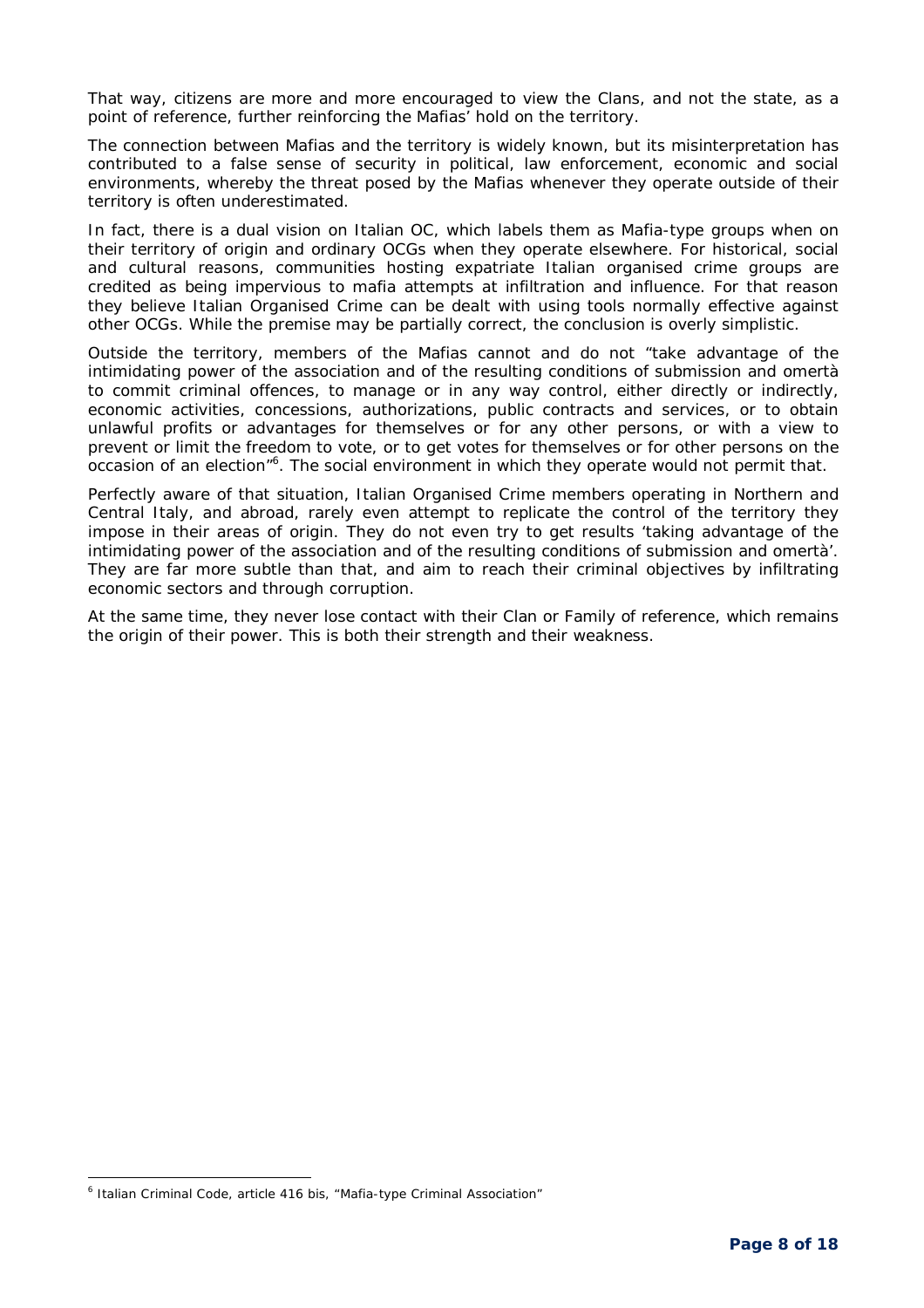That way, citizens are more and more encouraged to view the Clans, and not the state, as a point of reference, further reinforcing the Mafias' hold on the territory.

The connection between Mafias and the territory is widely known, but its misinterpretation has contributed to a false sense of security in political, law enforcement, economic and social environments, whereby the threat posed by the Mafias whenever they operate outside of their territory is often underestimated.

In fact, there is a dual vision on Italian OC, which labels them as Mafia-type groups when on their territory of origin and ordinary OCGs when they operate elsewhere. For historical, social and cultural reasons, communities hosting expatriate Italian organised crime groups are credited as being impervious to mafia attempts at infiltration and influence. For that reason they believe Italian Organised Crime can be dealt with using tools normally effective against other OCGs. While the premise may be partially correct, the conclusion is overly simplistic.

Outside the territory, members of the Mafias cannot and do not *"take advantage of the intimidating power of the association and of the resulting conditions of submission and omertà to commit criminal offences, to manage or in any way control, either directly or indirectly, economic activities, concessions, authorizations, public contracts and services, or to obtain unlawful profits or advantages for themselves or for any other persons, or with a view to prevent or limit the freedom to vote, or to get votes for themselves or for other persons on the*  occasion of an election<sup>16</sup>. The social environment in which they operate would not permit that.

Perfectly aware of that situation, Italian Organised Crime members operating in Northern and Central Italy, and abroad, rarely even attempt to replicate the control of the territory they impose in their areas of origin. They do not even try to get results *'taking advantage of the intimidating power of the association and of the resulting conditions of submission and omertà'.*  They are far more subtle than that, and aim to reach their criminal objectives by infiltrating economic sectors and through corruption.

At the same time, they never lose contact with their Clan or Family of reference, which remains the origin of their power. This is both their strength and their weakness.

-

<sup>&</sup>lt;sup>6</sup> Italian Criminal Code, article 416 bis, "Mafia-type Criminal Association"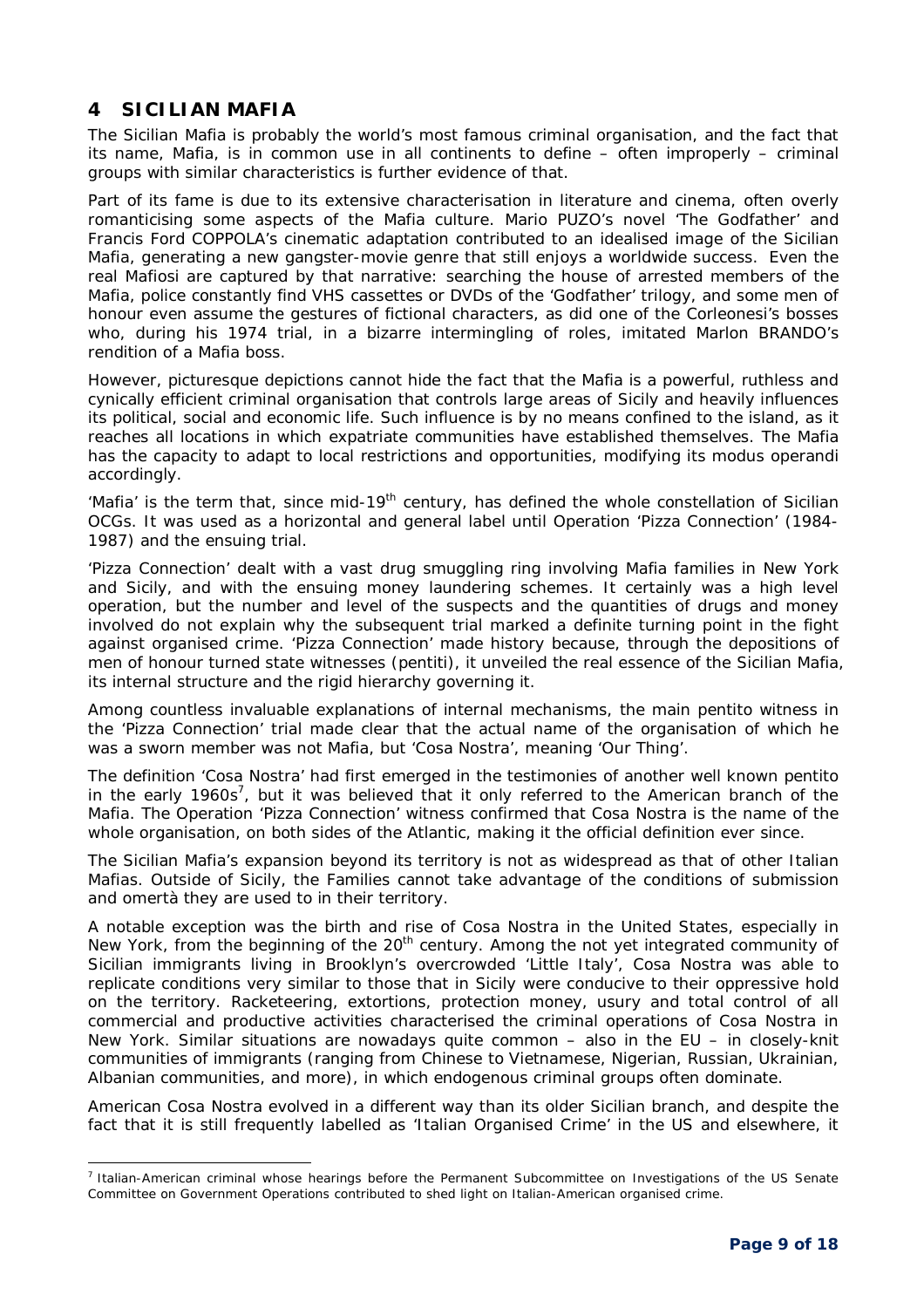## **4 SICILIAN MAFIA**

i,

The Sicilian Mafia is probably the world's most famous criminal organisation, and the fact that its name, Mafia, is in common use in all continents to define – often improperly – criminal groups with similar characteristics is further evidence of that.

Part of its fame is due to its extensive characterisation in literature and cinema, often overly romanticising some aspects of the Mafia culture. Mario PUZO's novel 'The Godfather' and Francis Ford COPPOLA's cinematic adaptation contributed to an idealised image of the Sicilian Mafia, generating a new gangster-movie genre that still enjoys a worldwide success. Even the real *Mafiosi* are captured by that narrative: searching the house of arrested members of the Mafia, police constantly find VHS cassettes or DVDs of the 'Godfather' trilogy, and some men of honour even assume the gestures of fictional characters, as did one of the Corleonesi's bosses who, during his 1974 trial, in a bizarre intermingling of roles, imitated Marlon BRANDO's rendition of a Mafia boss.

However, picturesque depictions cannot hide the fact that the Mafia is a powerful, ruthless and cynically efficient criminal organisation that controls large areas of Sicily and heavily influences its political, social and economic life. Such influence is by no means confined to the island, as it reaches all locations in which expatriate communities have established themselves. The Mafia has the capacity to adapt to local restrictions and opportunities, modifying its *modus operandi* accordingly.

'Mafia' is the term that, since mid-19<sup>th</sup> century, has defined the whole constellation of Sicilian OCGs. It was used as a horizontal and general label until Operation 'Pizza Connection' (1984- 1987) and the ensuing trial.

'Pizza Connection' dealt with a vast drug smuggling ring involving Mafia families in New York and Sicily, and with the ensuing money laundering schemes. It certainly was a high level operation, but the number and level of the suspects and the quantities of drugs and money involved do not explain why the subsequent trial marked a definite turning point in the fight against organised crime. 'Pizza Connection' made history because, through the depositions of men of honour turned state witnesses *(pentiti)*, it unveiled the real essence of the Sicilian Mafia, its internal structure and the rigid hierarchy governing it.

Among countless invaluable explanations of internal mechanisms, the main *pentito* witness in the 'Pizza Connection' trial made clear that the actual name of the organisation of which he was a sworn member was not Mafia, but 'Cosa Nostra', meaning 'Our Thing'.

The definition 'Cosa Nostra' had first emerged in the testimonies of another well known *pentito*  in the early 1960s<sup>7</sup>, but it was believed that it only referred to the American branch of the Mafia. The Operation 'Pizza Connection' witness confirmed that Cosa Nostra is the name of the whole organisation, on both sides of the Atlantic, making it the official definition ever since.

The Sicilian Mafia's expansion beyond its territory is not as widespread as that of other Italian Mafias. Outside of Sicily, the Families cannot take advantage of the conditions of submission and *omertà* they are used to in their territory.

A notable exception was the birth and rise of *Cosa Nostra* in the United States, especially in New York, from the beginning of the  $20<sup>th</sup>$  century. Among the not yet integrated community of Sicilian immigrants living in Brooklyn's overcrowded 'Little Italy'*, Cosa Nostra* was able to replicate conditions very similar to those that in Sicily were conducive to their oppressive hold on the territory. Racketeering, extortions, protection money, usury and total control of all commercial and productive activities characterised the criminal operations of *Cosa Nostra* in New York. Similar situations are nowadays quite common – also in the EU – in closely-knit communities of immigrants (ranging from Chinese to Vietnamese, Nigerian, Russian, Ukrainian, Albanian communities, and more), in which endogenous criminal groups often dominate.

American *Cosa Nostra* evolved in a different way than its older Sicilian branch, and despite the fact that it is still frequently labelled as 'Italian Organised Crime' in the US and elsewhere, it

<sup>&</sup>lt;sup>7</sup> Italian-American criminal whose hearings before the Permanent Subcommittee on Investigations of the US Senate Committee on Government Operations contributed to shed light on Italian-American organised crime.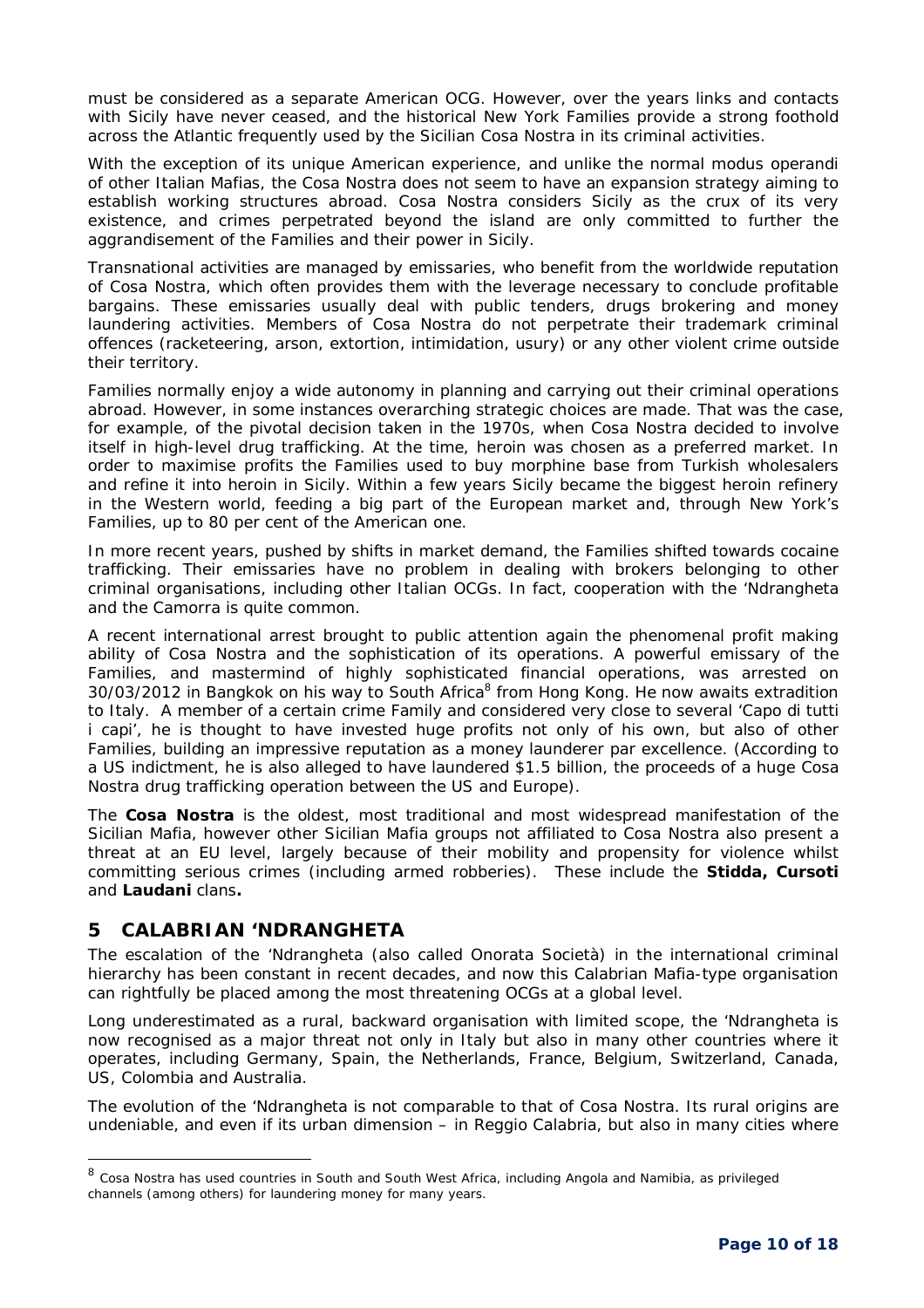must be considered as a separate American OCG. However, over the years links and contacts with Sicily have never ceased, and the historical New York Families provide a strong foothold across the Atlantic frequently used by the Sicilian *Cosa Nostra* in its criminal activities.

With the exception of its unique American experience, and unlike the normal *modus operandi* of other Italian Mafias, the *Cosa Nostra* does not seem to have an expansion strategy aiming to establish working structures abroad. Cosa Nostra considers Sicily as the crux of its very existence, and crimes perpetrated beyond the island are only committed to further the aggrandisement of the Families and their power in Sicily.

Transnational activities are managed by emissaries, who benefit from the worldwide reputation of *Cosa Nostra*, which often provides them with the leverage necessary to conclude profitable bargains. These emissaries usually deal with public tenders, drugs brokering and money laundering activities. Members of *Cosa Nostra* do not perpetrate their trademark criminal offences (racketeering, arson, extortion, intimidation, usury) or any other violent crime outside their territory.

Families normally enjoy a wide autonomy in planning and carrying out their criminal operations abroad. However, in some instances overarching strategic choices are made. That was the case, for example, of the pivotal decision taken in the 1970s, when *Cosa Nostra* decided to involve itself in high-level drug trafficking. At the time, heroin was chosen as a preferred market. In order to maximise profits the Families used to buy morphine base from Turkish wholesalers and refine it into heroin in Sicily. Within a few years Sicily became the biggest heroin refinery in the Western world, feeding a big part of the European market and, through New York's Families, up to 80 per cent of the American one.

In more recent years, pushed by shifts in market demand, the Families shifted towards cocaine trafficking. Their emissaries have no problem in dealing with brokers belonging to other criminal organisations, including other Italian OCGs. In fact, cooperation with the 'Ndrangheta and the Camorra is quite common.

A recent international arrest brought to public attention again the phenomenal profit making ability of Cosa Nostra and the sophistication of its operations. A powerful emissary of the Families, and mastermind of highly sophisticated financial operations, was arrested on 30/03/2012 in Bangkok on his way to South Africa<sup>8</sup> from Hong Kong. He now awaits extradition to Italy. A member of a certain crime Family and considered very close to several 'Capo di tutti i capi', he is thought to have invested huge profits not only of his own, but also of other Families, building an impressive reputation as a money launderer par excellence. (According to a US indictment, he is also alleged to have laundered \$1.5 billion, the proceeds of a huge Cosa Nostra drug trafficking operation between the US and Europe).

The **Cosa Nostra** is the oldest, most traditional and most widespread manifestation of the Sicilian Mafia, however other Sicilian Mafia groups not affiliated to Cosa Nostra also present a threat at an EU level, largely because of their mobility and propensity for violence whilst committing serious crimes (including armed robberies). These include the **Stidda, Cursoti** and **Laudani** clans**.**

## **5 CALABRIAN 'NDRANGHETA**

-

The escalation of the 'Ndrangheta (also called *Onorata Società)* in the international criminal hierarchy has been constant in recent decades, and now this Calabrian Mafia-type organisation can rightfully be placed among the most threatening OCGs at a global level.

Long underestimated as a rural, backward organisation with limited scope, the 'Ndrangheta is now recognised as a major threat not only in Italy but also in many other countries where it operates, including Germany, Spain, the Netherlands, France, Belgium, Switzerland, Canada, US, Colombia and Australia.

The evolution of the 'Ndrangheta is not comparable to that of Cosa Nostra. Its rural origins are undeniable, and even if its urban dimension – in Reggio Calabria, but also in many cities where

<sup>&</sup>lt;sup>8</sup> Cosa Nostra has used countries in South and South West Africa, including Angola and Namibia, as privileged channels (among others) for laundering money for many years.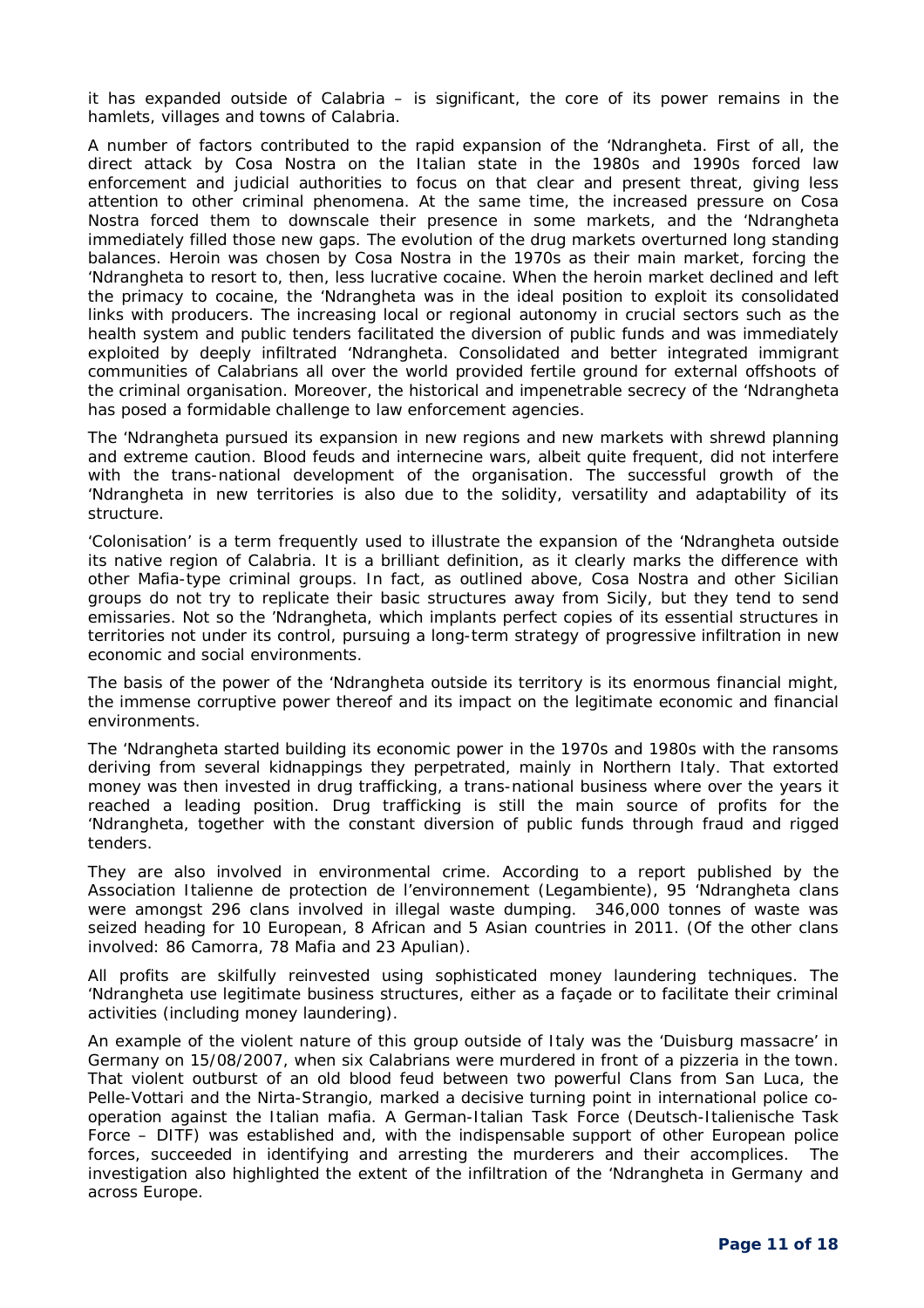it has expanded outside of Calabria – is significant, the core of its power remains in the hamlets, villages and towns of Calabria.

A number of factors contributed to the rapid expansion of the 'Ndrangheta. First of all, the direct attack by Cosa Nostra on the Italian state in the 1980s and 1990s forced law enforcement and judicial authorities to focus on that clear and present threat, giving less attention to other criminal phenomena. At the same time, the increased pressure on Cosa Nostra forced them to downscale their presence in some markets, and the 'Ndrangheta immediately filled those new gaps. The evolution of the drug markets overturned long standing balances. Heroin was chosen by Cosa Nostra in the 1970s as their main market, forcing the 'Ndrangheta to resort to, then, less lucrative cocaine. When the heroin market declined and left the primacy to cocaine, the 'Ndrangheta was in the ideal position to exploit its consolidated links with producers. The increasing local or regional autonomy in crucial sectors such as the health system and public tenders facilitated the diversion of public funds and was immediately exploited by deeply infiltrated 'Ndrangheta. Consolidated and better integrated immigrant communities of Calabrians all over the world provided fertile ground for external offshoots of the criminal organisation. Moreover, the historical and impenetrable secrecy of the 'Ndrangheta has posed a formidable challenge to law enforcement agencies.

The 'Ndrangheta pursued its expansion in new regions and new markets with shrewd planning and extreme caution. Blood feuds and internecine wars, albeit quite frequent, did not interfere with the trans-national development of the organisation. The successful growth of the 'Ndrangheta in new territories is also due to the solidity, versatility and adaptability of its structure.

'Colonisation' is a term frequently used to illustrate the expansion of the 'Ndrangheta outside its native region of Calabria. It is a brilliant definition, as it clearly marks the difference with other Mafia-type criminal groups. In fact, as outlined above, Cosa Nostra and other Sicilian groups do not try to replicate their basic structures away from Sicily, but they tend to send emissaries. Not so the 'Ndrangheta, which implants perfect copies of its essential structures in territories not under its control, pursuing a long-term strategy of progressive infiltration in new economic and social environments.

The basis of the power of the 'Ndrangheta outside its territory is its enormous financial might, the immense corruptive power thereof and its impact on the legitimate economic and financial environments.

The 'Ndrangheta started building its economic power in the 1970s and 1980s with the ransoms deriving from several kidnappings they perpetrated, mainly in Northern Italy. That extorted money was then invested in drug trafficking, a trans-national business where over the years it reached a leading position. Drug trafficking is still the main source of profits for the 'Ndrangheta, together with the constant diversion of public funds through fraud and rigged tenders.

They are also involved in environmental crime. According to a report published by the *Association Italienne de protection de l'environnement* (Legambiente), 95 'Ndrangheta clans were amongst 296 clans involved in illegal waste dumping. 346,000 tonnes of waste was seized heading for 10 European, 8 African and 5 Asian countries in 2011. (Of the other clans involved: 86 Camorra, 78 Mafia and 23 Apulian).

All profits are skilfully reinvested using sophisticated money laundering techniques. The 'Ndrangheta use legitimate business structures, either as a façade or to facilitate their criminal activities (including money laundering).

An example of the violent nature of this group outside of Italy was the 'Duisburg massacre' in Germany on 15/08/2007, when six Calabrians were murdered in front of a pizzeria in the town. That violent outburst of an old blood feud between two powerful Clans from San Luca, the Pelle-Vottari and the Nirta-Strangio, marked a decisive turning point in international police cooperation against the Italian mafia. A German-Italian Task Force (Deutsch-Italienische Task Force – DITF) was established and, with the indispensable support of other European police forces, succeeded in identifying and arresting the murderers and their accomplices. The investigation also highlighted the extent of the infiltration of the 'Ndrangheta in Germany and across Europe.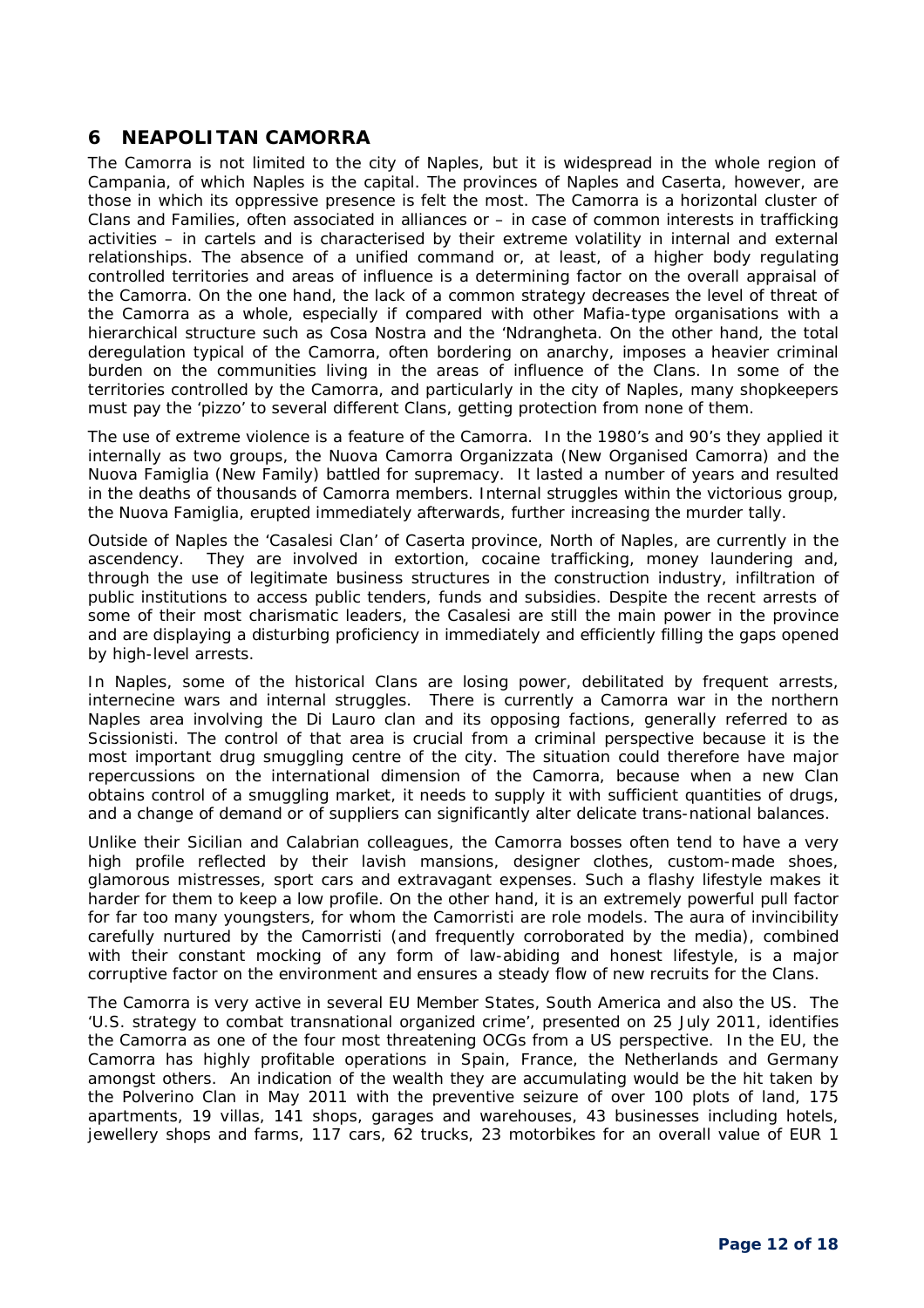## **6 NEAPOLITAN CAMORRA**

The Camorra is not limited to the city of Naples, but it is widespread in the whole region of Campania, of which Naples is the capital. The provinces of Naples and Caserta, however, are those in which its oppressive presence is felt the most. The Camorra is a horizontal cluster of Clans and Families, often associated in alliances or – in case of common interests in trafficking activities – in cartels and is characterised by their extreme volatility in internal and external relationships. The absence of a unified command or, at least, of a higher body regulating controlled territories and areas of influence is a determining factor on the overall appraisal of the Camorra. On the one hand, the lack of a common strategy decreases the level of threat of the Camorra as a whole, especially if compared with other Mafia-type organisations with a hierarchical structure such as Cosa Nostra and the 'Ndrangheta. On the other hand, the total deregulation typical of the Camorra, often bordering on anarchy, imposes a heavier criminal burden on the communities living in the areas of influence of the Clans. In some of the territories controlled by the Camorra, and particularly in the city of Naples, many shopkeepers must pay the 'pizzo' to several different Clans, getting protection from none of them.

The use of extreme violence is a feature of the Camorra. In the 1980's and 90's they applied it internally as two groups, the Nuova Camorra Organizzata (New Organised Camorra) and the Nuova Famiglia (New Family) battled for supremacy. It lasted a number of years and resulted in the deaths of thousands of Camorra members. Internal struggles within the victorious group, the Nuova Famiglia, erupted immediately afterwards, further increasing the murder tally.

Outside of Naples the 'Casalesi Clan' of Caserta province, North of Naples, are currently in the ascendency. They are involved in extortion, cocaine trafficking, money laundering and, through the use of legitimate business structures in the construction industry, infiltration of public institutions to access public tenders, funds and subsidies. Despite the recent arrests of some of their most charismatic leaders, the Casalesi are still the main power in the province and are displaying a disturbing proficiency in immediately and efficiently filling the gaps opened by high-level arrests.

In Naples, some of the historical Clans are losing power, debilitated by frequent arrests, internecine wars and internal struggles. There is currently a Camorra war in the northern Naples area involving the Di Lauro clan and its opposing factions, generally referred to as *Scissionisti*. The control of that area is crucial from a criminal perspective because it is the most important drug smuggling centre of the city. The situation could therefore have major repercussions on the international dimension of the Camorra, because when a new Clan obtains control of a smuggling market, it needs to supply it with sufficient quantities of drugs, and a change of demand or of suppliers can significantly alter delicate trans-national balances.

Unlike their Sicilian and Calabrian colleagues, the Camorra bosses often tend to have a very high profile reflected by their lavish mansions, designer clothes, custom-made shoes, glamorous mistresses, sport cars and extravagant expenses. Such a flashy lifestyle makes it harder for them to keep a low profile. On the other hand, it is an extremely powerful pull factor for far too many youngsters, for whom the Camorristi are role models. The aura of invincibility carefully nurtured by the Camorristi (and frequently corroborated by the media), combined with their constant mocking of any form of law-abiding and honest lifestyle, is a major corruptive factor on the environment and ensures a steady flow of new recruits for the Clans.

The Camorra is very active in several EU Member States, South America and also the US. The 'U.S. strategy to combat transnational organized crime', presented on 25 July 2011, identifies the Camorra as one of the four most threatening OCGs from a US perspective. In the EU, the Camorra has highly profitable operations in Spain, France, the Netherlands and Germany amongst others. An indication of the wealth they are accumulating would be the hit taken by the Polverino Clan in May 2011 with the preventive seizure of over 100 plots of land, 175 apartments, 19 villas, 141 shops, garages and warehouses, 43 businesses including hotels, jewellery shops and farms, 117 cars, 62 trucks, 23 motorbikes for an overall value of EUR 1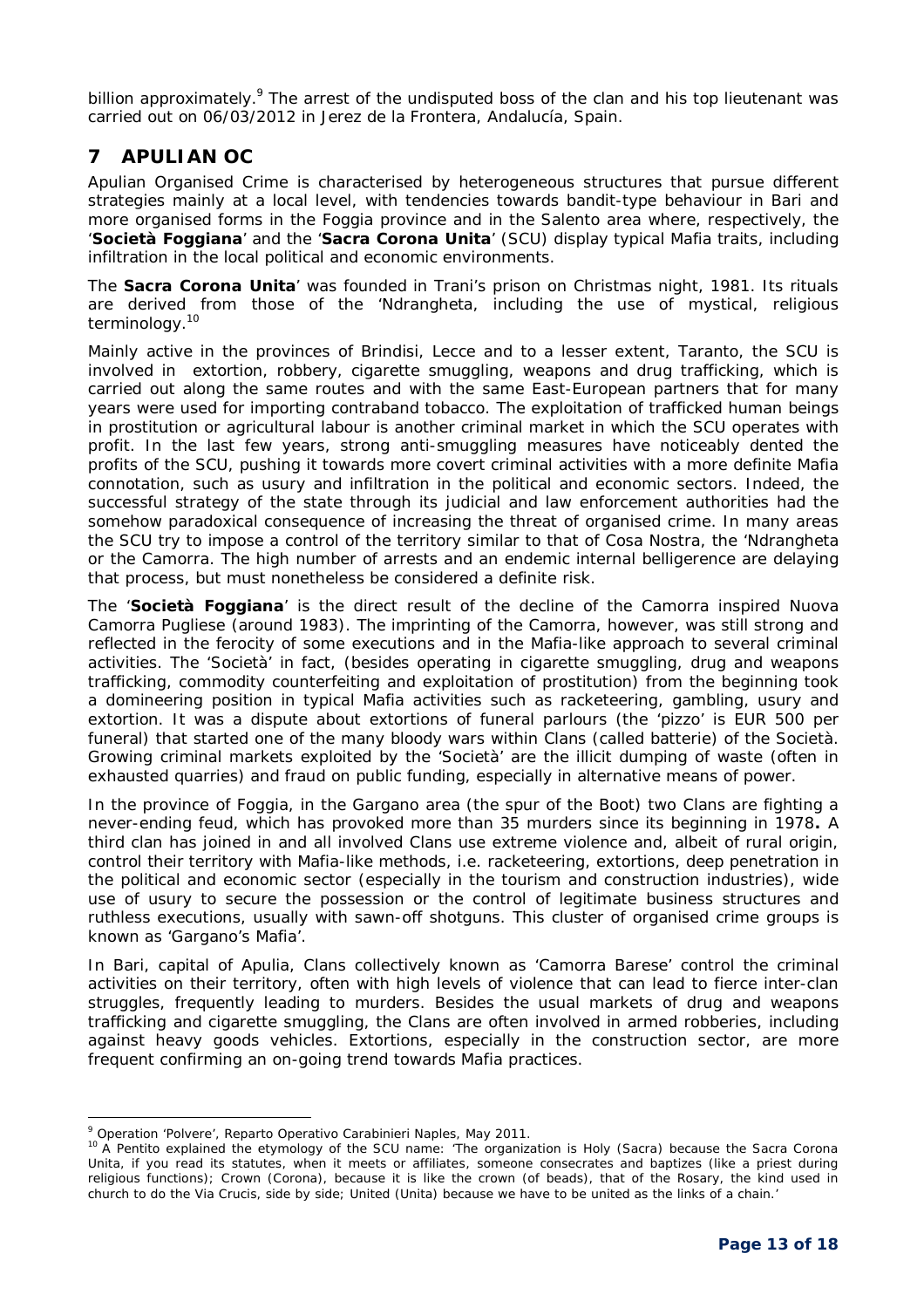billion approximately.<sup>9</sup> The arrest of the undisputed boss of the clan and his top lieutenant was carried out on 06/03/2012 in Jerez de la Frontera, Andalucía, Spain.

## **7 APULIAN OC**

Apulian Organised Crime is characterised by heterogeneous structures that pursue different strategies mainly at a local level, with tendencies towards bandit-type behaviour in Bari and more organised forms in the Foggia province and in the Salento area where, respectively, the '**Società Foggiana**' and the '**Sacra Corona Unita**' (SCU) display typical Mafia traits, including infiltration in the local political and economic environments.

The **Sacra Corona Unita**' was founded in Trani's prison on Christmas night, 1981. Its rituals are derived from those of the 'Ndrangheta, including the use of mystical, religious terminology.<sup>10</sup>

Mainly active in the provinces of Brindisi, Lecce and to a lesser extent, Taranto, the SCU is involved in extortion, robbery, cigarette smuggling, weapons and drug trafficking, which is carried out along the same routes and with the same East-European partners that for many years were used for importing contraband tobacco. The exploitation of trafficked human beings in prostitution or agricultural labour is another criminal market in which the SCU operates with profit. In the last few years, strong anti-smuggling measures have noticeably dented the profits of the SCU, pushing it towards more covert criminal activities with a more definite Mafia connotation, such as usury and infiltration in the political and economic sectors. Indeed, the successful strategy of the state through its judicial and law enforcement authorities had the somehow paradoxical consequence of increasing the threat of organised crime. In many areas the SCU try to impose a control of the territory similar to that of Cosa Nostra, the 'Ndrangheta or the Camorra. The high number of arrests and an endemic internal belligerence are delaying that process, but must nonetheless be considered a definite risk.

The '**Società Foggiana**' is the direct result of the decline of the Camorra inspired Nuova Camorra Pugliese (around 1983). The imprinting of the Camorra, however, was still strong and reflected in the ferocity of some executions and in the Mafia-like approach to several criminal activities. The 'Società' in fact, (besides operating in cigarette smuggling, drug and weapons trafficking, commodity counterfeiting and exploitation of prostitution) from the beginning took a domineering position in typical Mafia activities such as racketeering, gambling, usury and extortion. It was a dispute about extortions of funeral parlours (the 'pizzo' is EUR 500 per funeral) that started one of the many bloody wars within Clans (called *batterie*) of the Società. Growing criminal markets exploited by the 'Società' are the illicit dumping of waste (often in exhausted quarries) and fraud on public funding, especially in alternative means of power.

In the province of Foggia, in the Gargano area (the spur of the Boot) two Clans are fighting a never-ending feud, which has provoked more than 35 murders since its beginning in 1978**.** A third clan has joined in and all involved Clans use extreme violence and, albeit of rural origin, control their territory with Mafia-like methods, i.e. racketeering, extortions, deep penetration in the political and economic sector (especially in the tourism and construction industries), wide use of usury to secure the possession or the control of legitimate business structures and ruthless executions, usually with sawn-off shotguns. This cluster of organised crime groups is known as 'Gargano's Mafia'.

In Bari, capital of Apulia, Clans collectively known as 'Camorra Barese' control the criminal activities on their territory, often with high levels of violence that can lead to fierce inter-clan struggles, frequently leading to murders. Besides the usual markets of drug and weapons trafficking and cigarette smuggling, the Clans are often involved in armed robberies, including against heavy goods vehicles. Extortions, especially in the construction sector, are more frequent confirming an on-going trend towards Mafia practices.

l <sup>9</sup> Operation 'Polvere', Reparto Operativo Carabinieri Naples, May 2011.

<sup>10</sup> A *Pentito* explained the etymology of the SCU name: *'The organization is Holy* (Sacra) *because the Sacra Corona Unita, if you read its statutes, when it meets or affiliates, someone consecrates and baptizes (like a priest during religious functions); Crown* (Corona)*, because it is like the crown* (of beads)*, that of the Rosary, the kind used in church to do the Via Crucis, side by side; United* (Unita) *because we have to be united as the links of a chain.'*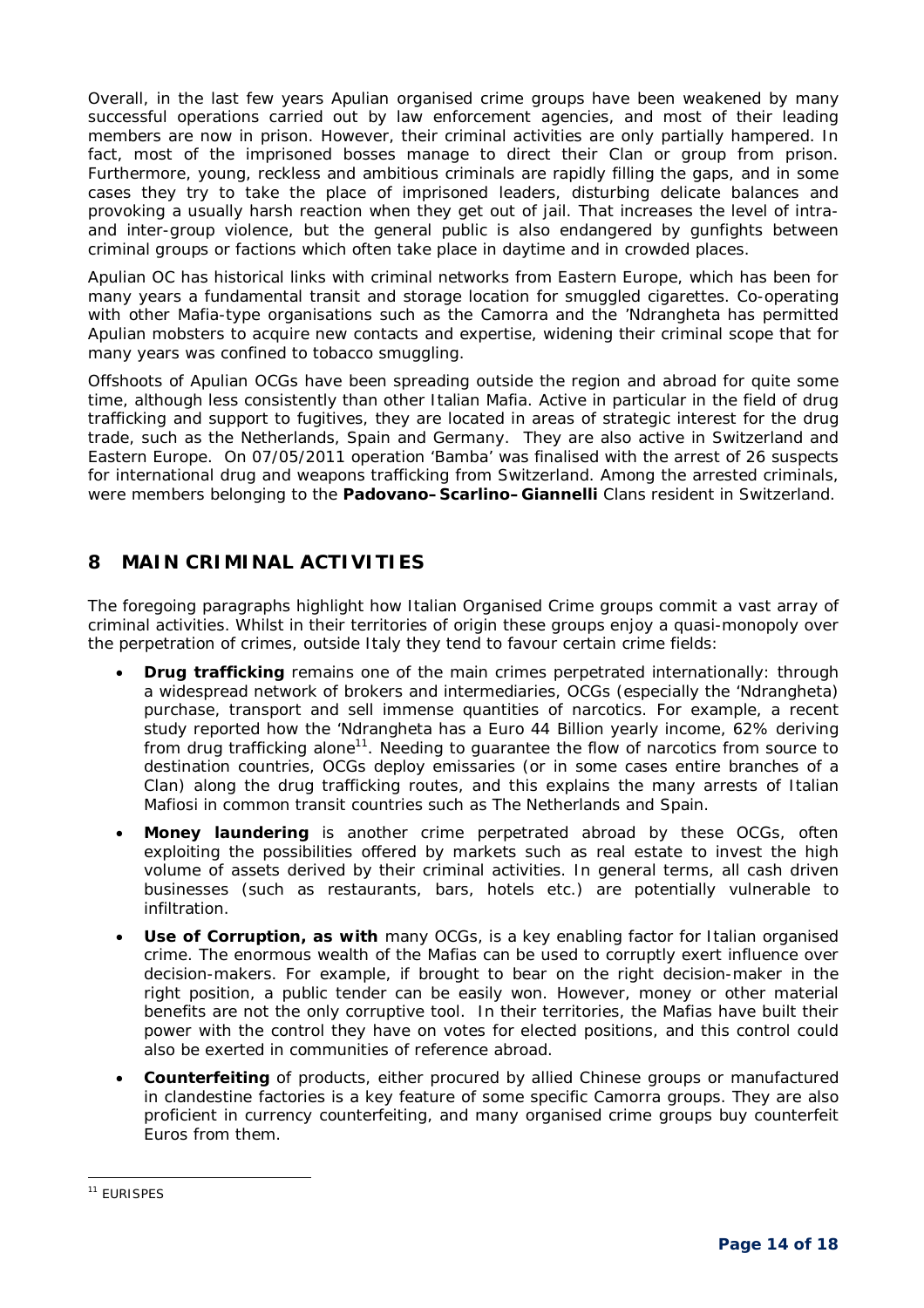Overall, in the last few years Apulian organised crime groups have been weakened by many successful operations carried out by law enforcement agencies, and most of their leading members are now in prison. However, their criminal activities are only partially hampered. In fact, most of the imprisoned bosses manage to direct their Clan or group from prison. Furthermore, young, reckless and ambitious criminals are rapidly filling the gaps, and in some cases they try to take the place of imprisoned leaders, disturbing delicate balances and provoking a usually harsh reaction when they get out of jail. That increases the level of intraand inter-group violence, but the general public is also endangered by gunfights between criminal groups or factions which often take place in daytime and in crowded places.

Apulian OC has historical links with criminal networks from Eastern Europe, which has been for many years a fundamental transit and storage location for smuggled cigarettes. Co-operating with other Mafia-type organisations such as the Camorra and the 'Ndrangheta has permitted Apulian mobsters to acquire new contacts and expertise, widening their criminal scope that for many years was confined to tobacco smuggling.

Offshoots of Apulian OCGs have been spreading outside the region and abroad for quite some time, although less consistently than other Italian Mafia. Active in particular in the field of drug trafficking and support to fugitives, they are located in areas of strategic interest for the drug trade, such as the Netherlands, Spain and Germany. They are also active in Switzerland and Eastern Europe. On 07/05/2011 operation 'Bamba' was finalised with the arrest of 26 suspects for international drug and weapons trafficking from Switzerland. Among the arrested criminals, were members belonging to the **Padovano–Scarlino–Giannelli** Clans resident in Switzerland.

# **8 MAIN CRIMINAL ACTIVITIES**

The foregoing paragraphs highlight how Italian Organised Crime groups commit a vast array of criminal activities. Whilst in their territories of origin these groups enjoy a quasi-monopoly over the perpetration of crimes, outside Italy they tend to favour certain crime fields:

- **Drug trafficking** remains one of the main crimes perpetrated internationally: through a widespread network of brokers and intermediaries, OCGs (especially the 'Ndrangheta) purchase, transport and sell immense quantities of narcotics. For example, a recent study reported how the 'Ndrangheta has a Euro 44 Billion yearly income, 62% deriving from drug trafficking alone<sup>11</sup>. Needing to guarantee the flow of narcotics from source to destination countries, OCGs deploy emissaries (or in some cases entire branches of a Clan) along the drug trafficking routes, and this explains the many arrests of Italian *Mafiosi* in common transit countries such as The Netherlands and Spain.
- **Money laundering** is another crime perpetrated abroad by these OCGs, often exploiting the possibilities offered by markets such as real estate to invest the high volume of assets derived by their criminal activities. In general terms, all cash driven businesses (such as restaurants, bars, hotels etc.) are potentially vulnerable to infiltration.
- **Use of Corruption, as with** many OCGs, is a key enabling factor for Italian organised crime. The enormous wealth of the Mafias can be used to corruptly exert influence over decision-makers. For example, if brought to bear on the right decision-maker in the right position, a public tender can be easily won. However, money or other material benefits are not the only corruptive tool. In their territories, the Mafias have built their power with the control they have on votes for elected positions, and this control could also be exerted in communities of reference abroad.
- **Counterfeiting** of products, either procured by allied Chinese groups or manufactured in clandestine factories is a key feature of some specific Camorra groups. They are also proficient in currency counterfeiting, and many organised crime groups buy counterfeit Euros from them.

<sup>-</sup><sup>11</sup> EURISPES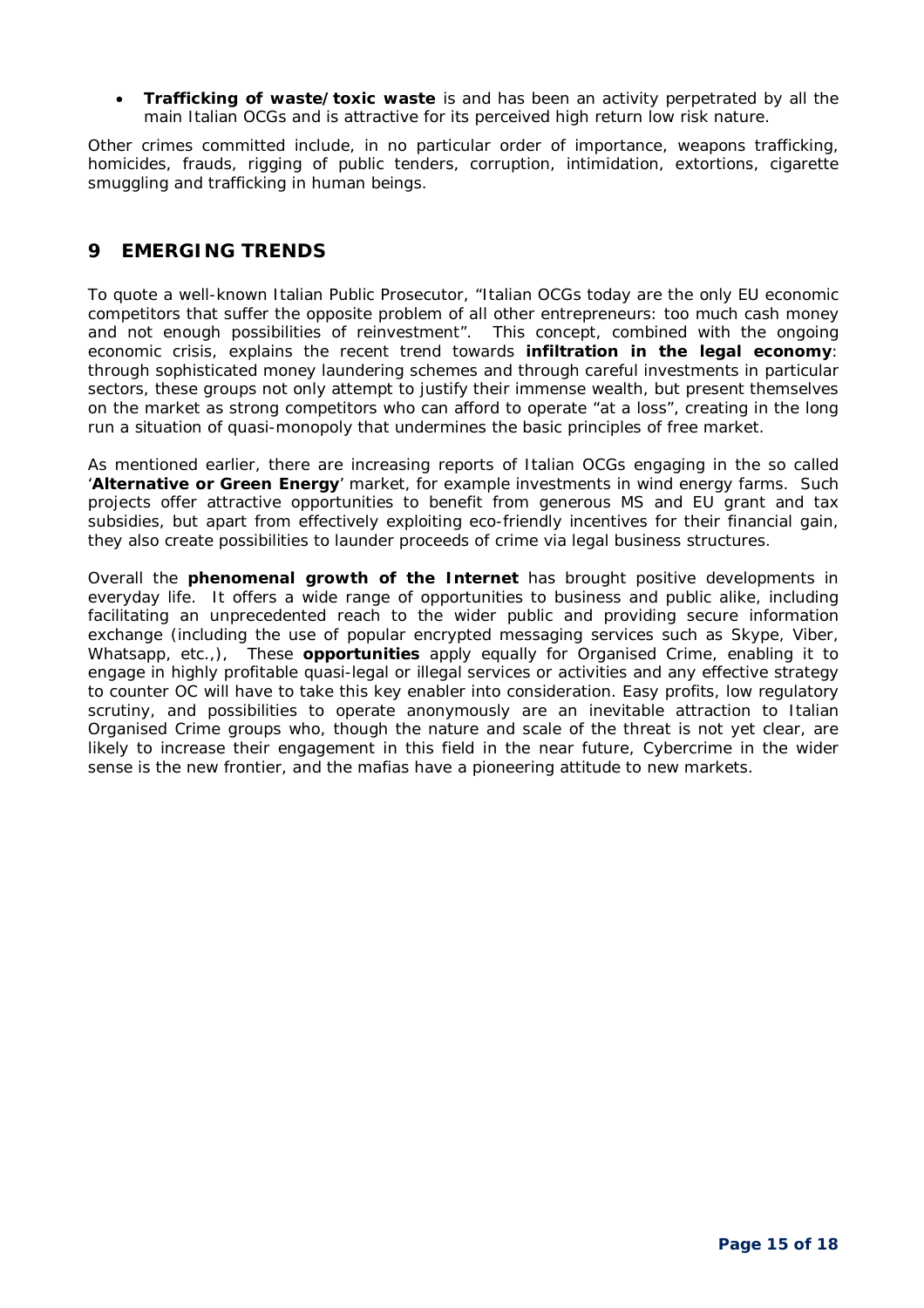**Trafficking of waste/toxic waste** is and has been an activity perpetrated by all the main Italian OCGs and is attractive for its perceived high return low risk nature.

Other crimes committed include, in no particular order of importance, weapons trafficking, homicides, frauds, rigging of public tenders, corruption, intimidation, extortions, cigarette smuggling and trafficking in human beings.

## **9 EMERGING TRENDS**

To quote a well-known Italian Public Prosecutor, "*Italian OCGs today are the only EU economic competitors that suffer the opposite problem of all other entrepreneurs: too much cash money and not enough possibilities of reinvestment*". This concept, combined with the ongoing economic crisis, explains the recent trend towards **infiltration in the legal economy**: through sophisticated money laundering schemes and through careful investments in particular sectors, these groups not only attempt to justify their immense wealth, but present themselves on the market as strong competitors who can afford to operate "at a loss", creating in the long run a situation of *quasi*-monopoly that undermines the basic principles of free market.

As mentioned earlier, there are increasing reports of Italian OCGs engaging in the so called '**Alternative or Green Energy**' market, for example investments in wind energy farms. Such projects offer attractive opportunities to benefit from generous MS and EU grant and tax subsidies, but apart from effectively exploiting eco-friendly incentives for their financial gain, they also create possibilities to launder proceeds of crime via legal business structures.

Overall the **phenomenal growth of the Internet** has brought positive developments in everyday life. It offers a wide range of opportunities to business and public alike, including facilitating an unprecedented reach to the wider public and providing secure information exchange (including the use of popular encrypted messaging services such as Skype, Viber, Whatsapp, etc.,), These **opportunities** apply equally for Organised Crime, enabling it to engage in highly profitable quasi-legal or illegal services or activities and any effective strategy to counter OC will have to take this key enabler into consideration. Easy profits, low regulatory scrutiny, and possibilities to operate anonymously are an inevitable attraction to Italian Organised Crime groups who, though the nature and scale of the threat is not yet clear, are likely to increase their engagement in this field in the near future, Cybercrime in the wider sense is the new frontier, and the mafias have a pioneering attitude to new markets.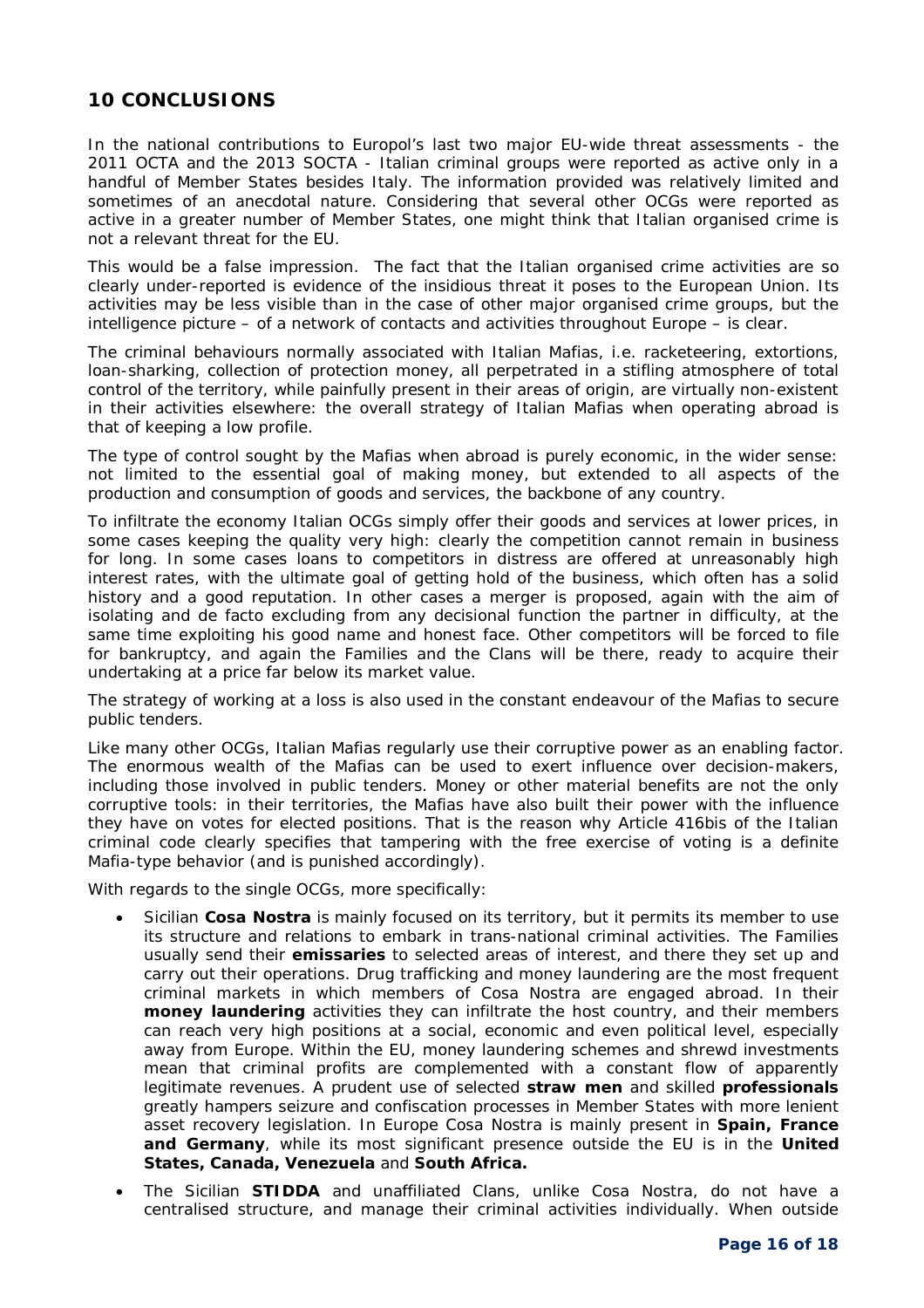## **10 CONCLUSIONS**

In the national contributions to Europol's last two major EU-wide threat assessments - the 2011 OCTA and the 2013 SOCTA - Italian criminal groups were reported as active only in a handful of Member States besides Italy. The information provided was relatively limited and sometimes of an anecdotal nature. Considering that several other OCGs were reported as active in a greater number of Member States, one might think that Italian organised crime is not a relevant threat for the EU.

This would be a false impression. The fact that the Italian organised crime activities are so clearly under-reported is evidence of the insidious threat it poses to the European Union. Its activities may be less visible than in the case of other major organised crime groups, but the intelligence picture – of a network of contacts and activities throughout Europe – is clear.

The criminal behaviours normally associated with Italian Mafias, i.e. racketeering, extortions, loan-sharking, collection of protection money, all perpetrated in a stifling atmosphere of total control of the territory, while painfully present in their areas of origin, are virtually non-existent in their activities elsewhere: the overall strategy of Italian Mafias when operating abroad is that of keeping a low profile.

The type of control sought by the Mafias when abroad is purely economic, in the wider sense: not limited to the essential goal of making money, but extended to all aspects of the production and consumption of goods and services, the backbone of any country.

To infiltrate the economy Italian OCGs simply offer their goods and services at lower prices, in some cases keeping the quality very high: clearly the competition cannot remain in business for long. In some cases loans to competitors in distress are offered at unreasonably high interest rates, with the ultimate goal of getting hold of the business, which often has a solid history and a good reputation. In other cases a merger is proposed, again with the aim of isolating and *de facto* excluding from any decisional function the partner in difficulty, at the same time exploiting his good name and honest face. Other competitors will be forced to file for bankruptcy, and again the Families and the Clans will be there, ready to acquire their undertaking at a price far below its market value.

The strategy of working at a loss is also used in the constant endeavour of the Mafias to secure public tenders.

Like many other OCGs, Italian Mafias regularly use their corruptive power as an enabling factor. The enormous wealth of the Mafias can be used to exert influence over decision-makers, including those involved in public tenders. Money or other material benefits are not the only corruptive tools: in their territories, the Mafias have also built their power with the influence they have on votes for elected positions. That is the reason why Article 416bis of the Italian criminal code clearly specifies that tampering with the free exercise of voting is a definite Mafia-type behavior (and is punished accordingly).

With regards to the single OCGs, more specifically:

- Sicilian **Cosa Nostra** is mainly focused on its territory, but it permits its member to use its structure and relations to embark in trans-national criminal activities. The Families usually send their **emissaries** to selected areas of interest, and there they set up and carry out their operations. Drug trafficking and money laundering are the most frequent criminal markets in which members of Cosa Nostra are engaged abroad. In their **money laundering** activities they can infiltrate the host country, and their members can reach very high positions at a social, economic and even political level, especially away from Europe. Within the EU, money laundering schemes and shrewd investments mean that criminal profits are complemented with a constant flow of apparently legitimate revenues. A prudent use of selected **straw men** and skilled **professionals** greatly hampers seizure and confiscation processes in Member States with more lenient asset recovery legislation. In Europe Cosa Nostra is mainly present in **Spain, France and Germany**, while its most significant presence outside the EU is in the **United States, Canada, Venezuela** and **South Africa.**
- The Sicilian **STIDDA** and unaffiliated Clans, unlike Cosa Nostra, do not have a centralised structure, and manage their criminal activities individually. When outside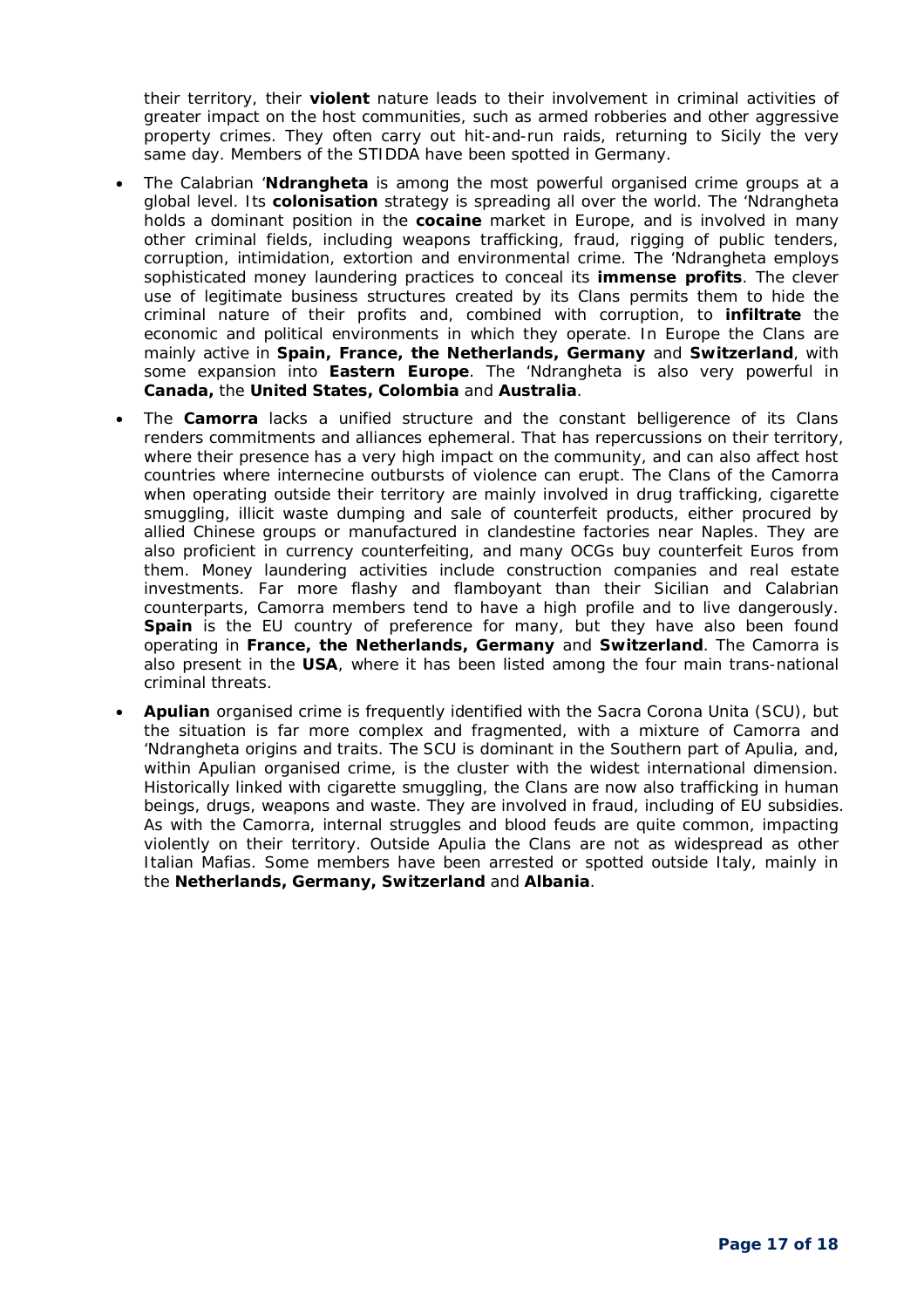their territory, their **violent** nature leads to their involvement in criminal activities of greater impact on the host communities, such as armed robberies and other aggressive property crimes. They often carry out hit-and-run raids, returning to Sicily the very same day. Members of the STIDDA have been spotted in Germany.

- The Calabrian '**Ndrangheta** is among the most powerful organised crime groups at a global level. Its **colonisation** strategy is spreading all over the world. The 'Ndrangheta holds a dominant position in the **cocaine** market in Europe, and is involved in many other criminal fields, including weapons trafficking, fraud, rigging of public tenders, corruption, intimidation, extortion and environmental crime. The 'Ndrangheta employs sophisticated money laundering practices to conceal its **immense profits**. The clever use of legitimate business structures created by its Clans permits them to hide the criminal nature of their profits and, combined with corruption, to **infiltrate** the economic and political environments in which they operate. In Europe the Clans are mainly active in **Spain, France, the Netherlands, Germany** and **Switzerland**, with some expansion into **Eastern Europe**. The 'Ndrangheta is also very powerful in **Canada,** the **United States, Colombia** and **Australia**.
- The **Camorra** lacks a unified structure and the constant belligerence of its Clans renders commitments and alliances ephemeral. That has repercussions on their territory, where their presence has a very high impact on the community, and can also affect host countries where internecine outbursts of violence can erupt. The Clans of the Camorra when operating outside their territory are mainly involved in drug trafficking, cigarette smuggling, illicit waste dumping and sale of counterfeit products, either procured by allied Chinese groups or manufactured in clandestine factories near Naples. They are also proficient in currency counterfeiting, and many OCGs buy counterfeit Euros from them. Money laundering activities include construction companies and real estate investments. Far more flashy and flamboyant than their Sicilian and Calabrian counterparts, Camorra members tend to have a high profile and to live dangerously. **Spain** is the EU country of preference for many, but they have also been found operating in **France, the Netherlands, Germany** and **Switzerland**. The Camorra is also present in the **USA**, where it has been listed among the four main trans-national criminal threats.
- **Apulian** organised crime is frequently identified with the Sacra Corona Unita (SCU), but the situation is far more complex and fragmented, with a mixture of Camorra and 'Ndrangheta origins and traits. The SCU is dominant in the Southern part of Apulia, and, within Apulian organised crime, is the cluster with the widest international dimension. Historically linked with cigarette smuggling, the Clans are now also trafficking in human beings, drugs, weapons and waste. They are involved in fraud, including of EU subsidies. As with the Camorra, internal struggles and blood feuds are quite common, impacting violently on their territory. Outside Apulia the Clans are not as widespread as other Italian Mafias. Some members have been arrested or spotted outside Italy, mainly in the **Netherlands, Germany, Switzerland** and **Albania**.